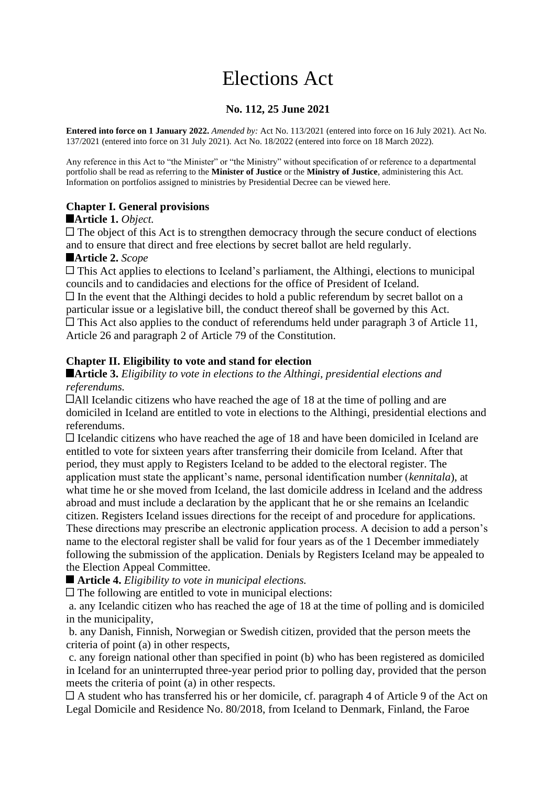# Elections Act

## **No. 112, 25 June 2021**

**Entered into force on 1 January 2022.** *Amended by:* Act No. 113/2021 (entered into force on 16 July 2021). Act No. 137/2021 (entered into force on 31 July 2021). Act No. 18/2022 (entered into force on 18 March 2022).

Any reference in this Act to "the Minister" or "the Ministry" without specification of or reference to a departmental portfolio shall be read as referring to the **Minister of Justice** or the **Ministry of Justice**, administering this Act. Information on portfolios assigned to ministries by Presidential Decree can be viewed here.

## **Chapter I. General provisions**

#### **Article 1.** *Object.*

 $\Box$  The object of this Act is to strengthen democracy through the secure conduct of elections and to ensure that direct and free elections by secret ballot are held regularly.

#### **Article 2.** *Scope*

 $\Box$  This Act applies to elections to Iceland's parliament, the Althingi, elections to municipal councils and to candidacies and elections for the office of President of Iceland.  $\Box$  In the event that the Althingi decides to hold a public referendum by secret ballot on a particular issue or a legislative bill, the conduct thereof shall be governed by this Act. This Act also applies to the conduct of referendums held under paragraph 3 of Article 11, Article 26 and paragraph 2 of Article 79 of the Constitution.

#### **Chapter II. Eligibility to vote and stand for election**

#### **Article 3.** *Eligibility to vote in elections to the Althingi, presidential elections and referendums.*

All Icelandic citizens who have reached the age of 18 at the time of polling and are domiciled in Iceland are entitled to vote in elections to the Althingi, presidential elections and referendums.

 $\Box$  Icelandic citizens who have reached the age of 18 and have been domiciled in Iceland are entitled to vote for sixteen years after transferring their domicile from Iceland. After that period, they must apply to Registers Iceland to be added to the electoral register. The application must state the applicant's name, personal identification number (*kennitala*), at what time he or she moved from Iceland, the last domicile address in Iceland and the address abroad and must include a declaration by the applicant that he or she remains an Icelandic citizen. Registers Iceland issues directions for the receipt of and procedure for applications. These directions may prescribe an electronic application process. A decision to add a person's name to the electoral register shall be valid for four years as of the 1 December immediately following the submission of the application. Denials by Registers Iceland may be appealed to the Election Appeal Committee.

**Article 4.** *Eligibility to vote in municipal elections.*

The following are entitled to vote in municipal elections:

a. any Icelandic citizen who has reached the age of 18 at the time of polling and is domiciled in the municipality,

b. any Danish, Finnish, Norwegian or Swedish citizen, provided that the person meets the criteria of point (a) in other respects,

c. any foreign national other than specified in point (b) who has been registered as domiciled in Iceland for an uninterrupted three-year period prior to polling day, provided that the person meets the criteria of point (a) in other respects.

 $\Box$  A student who has transferred his or her domicile, cf. paragraph 4 of Article 9 of the Act on Legal Domicile and Residence No. 80/2018, from Iceland to Denmark, Finland, the Faroe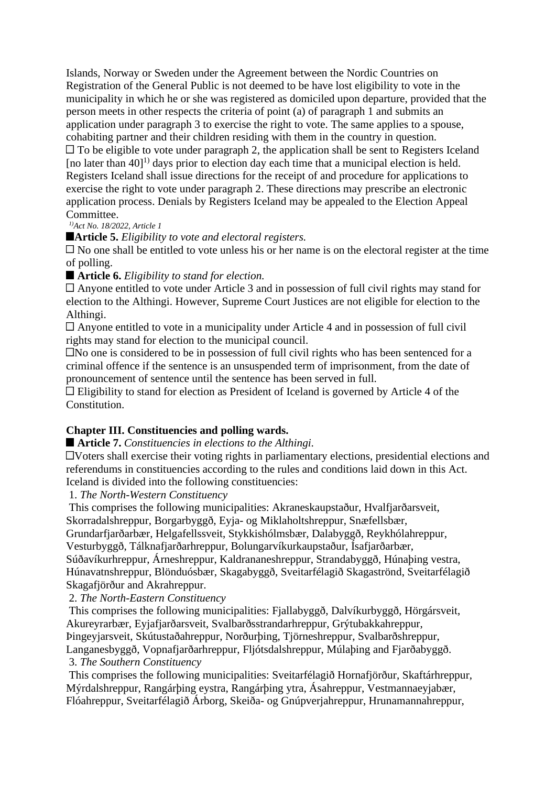Islands, Norway or Sweden under the Agreement between the Nordic Countries on Registration of the General Public is not deemed to be have lost eligibility to vote in the municipality in which he or she was registered as domiciled upon departure, provided that the person meets in other respects the criteria of point (a) of paragraph 1 and submits an application under paragraph 3 to exercise the right to vote. The same applies to a spouse, cohabiting partner and their children residing with them in the country in question.  $\Box$  To be eligible to vote under paragraph 2, the application shall be sent to Registers Iceland [no later than  $401^{1}$ ] days prior to election day each time that a municipal election is held. Registers Iceland shall issue directions for the receipt of and procedure for applications to exercise the right to vote under paragraph 2. These directions may prescribe an electronic application process. Denials by Registers Iceland may be appealed to the Election Appeal Committee.

*1)Act No. 18/2022, Article 1*

**Article 5.** *Eligibility to vote and electoral registers.*

 $\Box$  No one shall be entitled to vote unless his or her name is on the electoral register at the time of polling.

■ **Article 6.** *Eligibility to stand for election.* 

Anyone entitled to vote under Article 3 and in possession of full civil rights may stand for election to the Althingi. However, Supreme Court Justices are not eligible for election to the Althingi.

 $\Box$  Anyone entitled to vote in a municipality under Article 4 and in possession of full civil rights may stand for election to the municipal council.

No one is considered to be in possession of full civil rights who has been sentenced for a criminal offence if the sentence is an unsuspended term of imprisonment, from the date of pronouncement of sentence until the sentence has been served in full.

Eligibility to stand for election as President of Iceland is governed by Article 4 of the Constitution.

## **Chapter III. Constituencies and polling wards.**

## **Article 7.** *Constituencies in elections to the Althingi.*

Voters shall exercise their voting rights in parliamentary elections, presidential elections and referendums in constituencies according to the rules and conditions laid down in this Act. Iceland is divided into the following constituencies:

1. *The North-Western Constituency*

This comprises the following municipalities: Akraneskaupstaður, Hvalfjarðarsveit, Skorradalshreppur, Borgarbyggð, Eyja- og Miklaholtshreppur, Snæfellsbær,

Grundarfjarðarbær, Helgafellssveit, Stykkishólmsbær, Dalabyggð, Reykhólahreppur,

Vesturbyggð, Tálknafjarðarhreppur, Bolungarvíkurkaupstaður, Ísafjarðarbær,

Súðavíkurhreppur, Árneshreppur, Kaldrananeshreppur, Strandabyggð, Húnaþing vestra, Húnavatnshreppur, Blönduósbær, Skagabyggð, Sveitarfélagið Skagaströnd, Sveitarfélagið Skagafjörður and Akrahreppur.

2. *The North-Eastern Constituency*

This comprises the following municipalities: Fjallabyggð, Dalvíkurbyggð, Hörgársveit, Akureyrarbær, Eyjafjarðarsveit, Svalbarðsstrandarhreppur, Grýtubakkahreppur, Þingeyjarsveit, Skútustaðahreppur, Norðurþing, Tjörneshreppur, Svalbarðshreppur, Langanesbyggð, Vopnafjarðarhreppur, Fljótsdalshreppur, Múlaþing and Fjarðabyggð.

## 3. *The Southern Constituency*

This comprises the following municipalities: Sveitarfélagið Hornafjörður, Skaftárhreppur, Mýrdalshreppur, Rangárþing eystra, Rangárþing ytra, Ásahreppur, Vestmannaeyjabær, Flóahreppur, Sveitarfélagið Árborg, Skeiða- og Gnúpverjahreppur, Hrunamannahreppur,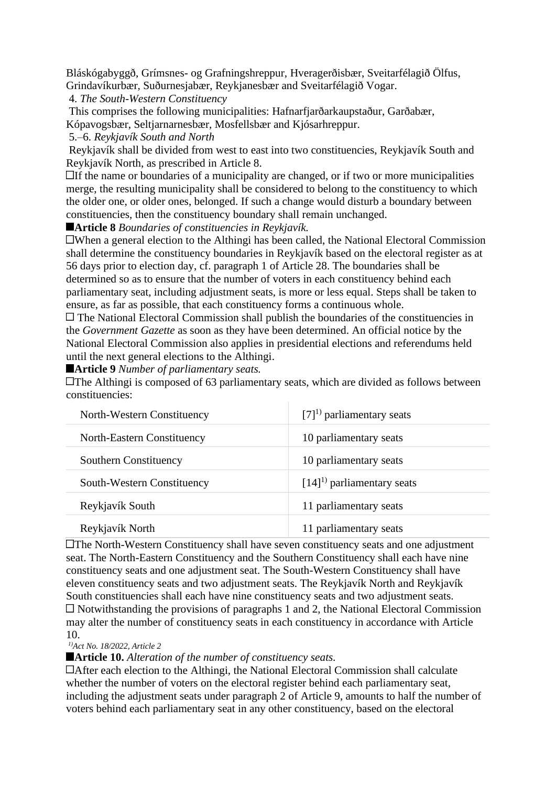Bláskógabyggð, Grímsnes- og Grafningshreppur, Hveragerðisbær, Sveitarfélagið Ölfus, Grindavíkurbær, Suðurnesjabær, Reykjanesbær and Sveitarfélagið Vogar.

4. *The South-Western Constituency*

This comprises the following municipalities: Hafnarfjarðarkaupstaður, Garðabær, Kópavogsbær, Seltjarnarnesbær, Mosfellsbær and Kjósarhreppur.

5.–6. *Reykjavík South and North*

Reykjavík shall be divided from west to east into two constituencies, Reykjavík South and Reykjavík North, as prescribed in Article 8.

 $\Box$  If the name or boundaries of a municipality are changed, or if two or more municipalities merge, the resulting municipality shall be considered to belong to the constituency to which the older one, or older ones, belonged. If such a change would disturb a boundary between constituencies, then the constituency boundary shall remain unchanged.

**Article 8** *Boundaries of constituencies in Reykjavík.*

When a general election to the Althingi has been called, the National Electoral Commission shall determine the constituency boundaries in Reykjavík based on the electoral register as at 56 days prior to election day, cf. paragraph 1 of Article 28. The boundaries shall be determined so as to ensure that the number of voters in each constituency behind each parliamentary seat, including adjustment seats, is more or less equal. Steps shall be taken to ensure, as far as possible, that each constituency forms a continuous whole.

The National Electoral Commission shall publish the boundaries of the constituencies in the *Government Gazette* as soon as they have been determined. An official notice by the National Electoral Commission also applies in presidential elections and referendums held until the next general elections to the Althingi.

**Article 9** *Number of parliamentary seats.*

The Althingi is composed of 63 parliamentary seats, which are divided as follows between constituencies:

| North-Western Constituency   | $[7]^{1}$ parliamentary seats  |
|------------------------------|--------------------------------|
| North-Eastern Constituency   | 10 parliamentary seats         |
| <b>Southern Constituency</b> | 10 parliamentary seats         |
| South-Western Constituency   | $[14]^{1}$ parliamentary seats |
| Reykjavík South              | 11 parliamentary seats         |
| Reykjavík North              | 11 parliamentary seats         |

The North-Western Constituency shall have seven constituency seats and one adjustment seat. The North-Eastern Constituency and the Southern Constituency shall each have nine constituency seats and one adjustment seat. The South-Western Constituency shall have eleven constituency seats and two adjustment seats. The Reykjavík North and Reykjavík South constituencies shall each have nine constituency seats and two adjustment seats.  $\Box$  Notwithstanding the provisions of paragraphs 1 and 2, the National Electoral Commission may alter the number of constituency seats in each constituency in accordance with Article 10.

*1)Act No. 18/2022, Article 2*

**Article 10.** *Alteration of the number of constituency seats.*

After each election to the Althingi, the National Electoral Commission shall calculate whether the number of voters on the electoral register behind each parliamentary seat, including the adjustment seats under paragraph 2 of Article 9, amounts to half the number of voters behind each parliamentary seat in any other constituency, based on the electoral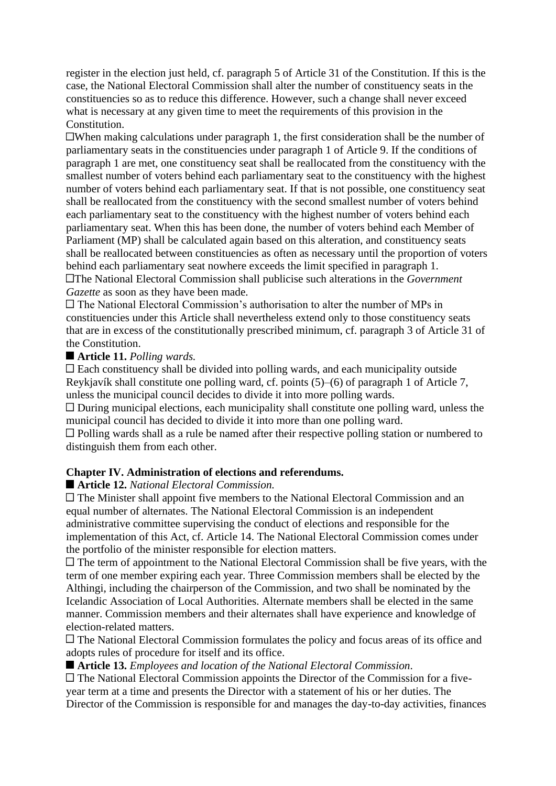register in the election just held, cf. paragraph 5 of Article 31 of the Constitution. If this is the case, the National Electoral Commission shall alter the number of constituency seats in the constituencies so as to reduce this difference. However, such a change shall never exceed what is necessary at any given time to meet the requirements of this provision in the Constitution.

 $\Box$ When making calculations under paragraph 1, the first consideration shall be the number of parliamentary seats in the constituencies under paragraph 1 of Article 9. If the conditions of paragraph 1 are met, one constituency seat shall be reallocated from the constituency with the smallest number of voters behind each parliamentary seat to the constituency with the highest number of voters behind each parliamentary seat. If that is not possible, one constituency seat shall be reallocated from the constituency with the second smallest number of voters behind each parliamentary seat to the constituency with the highest number of voters behind each parliamentary seat. When this has been done, the number of voters behind each Member of Parliament (MP) shall be calculated again based on this alteration, and constituency seats shall be reallocated between constituencies as often as necessary until the proportion of voters behind each parliamentary seat nowhere exceeds the limit specified in paragraph 1. The National Electoral Commission shall publicise such alterations in the *Government Gazette* as soon as they have been made.

The National Electoral Commission's authorisation to alter the number of MPs in constituencies under this Article shall nevertheless extend only to those constituency seats that are in excess of the constitutionally prescribed minimum, cf. paragraph 3 of Article 31 of the Constitution.

#### **Article 11.** *Polling wards.*

 $\Box$  Each constituency shall be divided into polling wards, and each municipality outside Reykjavík shall constitute one polling ward, cf. points (5)–(6) of paragraph 1 of Article 7, unless the municipal council decides to divide it into more polling wards.

 $\Box$  During municipal elections, each municipality shall constitute one polling ward, unless the municipal council has decided to divide it into more than one polling ward.

Polling wards shall as a rule be named after their respective polling station or numbered to distinguish them from each other.

#### **Chapter IV. Administration of elections and referendums.**

#### **Article 12.** *National Electoral Commission.*

The Minister shall appoint five members to the National Electoral Commission and an equal number of alternates. The National Electoral Commission is an independent administrative committee supervising the conduct of elections and responsible for the implementation of this Act, cf. Article 14. The National Electoral Commission comes under the portfolio of the minister responsible for election matters.

 $\Box$  The term of appointment to the National Electoral Commission shall be five years, with the term of one member expiring each year. Three Commission members shall be elected by the Althingi, including the chairperson of the Commission, and two shall be nominated by the Icelandic Association of Local Authorities. Alternate members shall be elected in the same manner. Commission members and their alternates shall have experience and knowledge of election-related matters.

 $\Box$  The National Electoral Commission formulates the policy and focus areas of its office and adopts rules of procedure for itself and its office.

**Article 13.** *Employees and location of the National Electoral Commission.*

The National Electoral Commission appoints the Director of the Commission for a fiveyear term at a time and presents the Director with a statement of his or her duties. The Director of the Commission is responsible for and manages the day-to-day activities, finances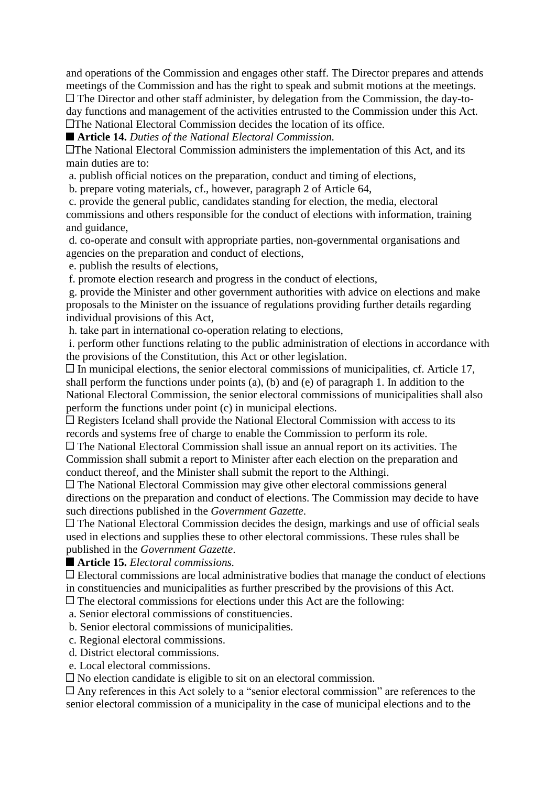and operations of the Commission and engages other staff. The Director prepares and attends meetings of the Commission and has the right to speak and submit motions at the meetings. The Director and other staff administer, by delegation from the Commission, the day-today functions and management of the activities entrusted to the Commission under this Act. The National Electoral Commission decides the location of its office.

**Article 14.** *Duties of the National Electoral Commission.*

The National Electoral Commission administers the implementation of this Act, and its main duties are to:

a. publish official notices on the preparation, conduct and timing of elections,

b. prepare voting materials, cf., however, paragraph 2 of Article 64,

c. provide the general public, candidates standing for election, the media, electoral commissions and others responsible for the conduct of elections with information, training and guidance,

d. co-operate and consult with appropriate parties, non-governmental organisations and agencies on the preparation and conduct of elections,

e. publish the results of elections,

f. promote election research and progress in the conduct of elections,

g. provide the Minister and other government authorities with advice on elections and make proposals to the Minister on the issuance of regulations providing further details regarding individual provisions of this Act,

h. take part in international co-operation relating to elections,

i. perform other functions relating to the public administration of elections in accordance with the provisions of the Constitution, this Act or other legislation.

 $\Box$  In municipal elections, the senior electoral commissions of municipalities, cf. Article 17, shall perform the functions under points (a), (b) and (e) of paragraph 1. In addition to the National Electoral Commission, the senior electoral commissions of municipalities shall also perform the functions under point (c) in municipal elections.

 $\Box$  Registers Iceland shall provide the National Electoral Commission with access to its records and systems free of charge to enable the Commission to perform its role.

The National Electoral Commission shall issue an annual report on its activities. The Commission shall submit a report to Minister after each election on the preparation and conduct thereof, and the Minister shall submit the report to the Althingi.

The National Electoral Commission may give other electoral commissions general directions on the preparation and conduct of elections. The Commission may decide to have such directions published in the *Government Gazette*.

The National Electoral Commission decides the design, markings and use of official seals used in elections and supplies these to other electoral commissions. These rules shall be published in the *Government Gazette*.

**Article 15.** *Electoral commissions.*

Electoral commissions are local administrative bodies that manage the conduct of elections in constituencies and municipalities as further prescribed by the provisions of this Act.

 $\Box$  The electoral commissions for elections under this Act are the following:

a. Senior electoral commissions of constituencies.

b. Senior electoral commissions of municipalities.

c. Regional electoral commissions.

d. District electoral commissions.

e. Local electoral commissions.

 $\Box$  No election candidate is eligible to sit on an electoral commission.

Any references in this Act solely to a "senior electoral commission" are references to the senior electoral commission of a municipality in the case of municipal elections and to the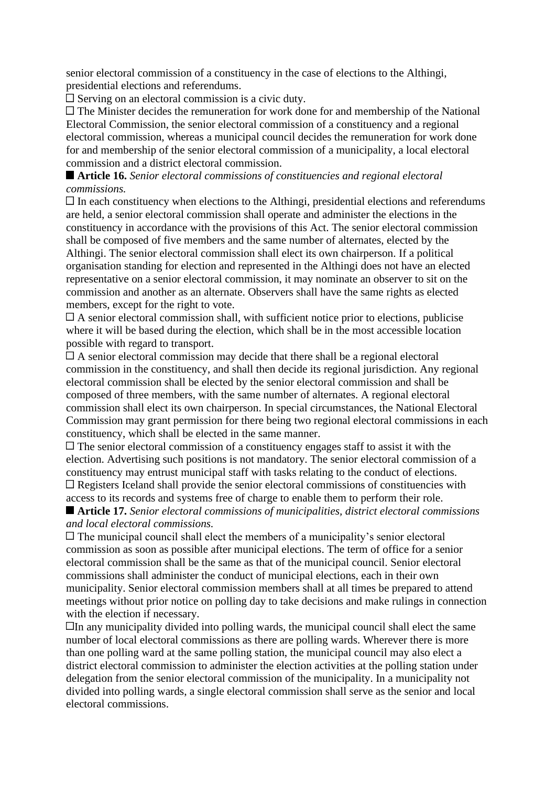senior electoral commission of a constituency in the case of elections to the Althingi, presidential elections and referendums.

Serving on an electoral commission is a civic duty.

The Minister decides the remuneration for work done for and membership of the National Electoral Commission, the senior electoral commission of a constituency and a regional electoral commission, whereas a municipal council decides the remuneration for work done for and membership of the senior electoral commission of a municipality, a local electoral commission and a district electoral commission.

#### **Article 16.** *Senior electoral commissions of constituencies and regional electoral commissions.*

 $\Box$  In each constituency when elections to the Althingi, presidential elections and referendums are held, a senior electoral commission shall operate and administer the elections in the constituency in accordance with the provisions of this Act. The senior electoral commission shall be composed of five members and the same number of alternates, elected by the Althingi. The senior electoral commission shall elect its own chairperson. If a political organisation standing for election and represented in the Althingi does not have an elected representative on a senior electoral commission, it may nominate an observer to sit on the commission and another as an alternate. Observers shall have the same rights as elected members, except for the right to vote.

 $\Box$  A senior electoral commission shall, with sufficient notice prior to elections, publicise where it will be based during the election, which shall be in the most accessible location possible with regard to transport.

 $\Box$  A senior electoral commission may decide that there shall be a regional electoral commission in the constituency, and shall then decide its regional jurisdiction. Any regional electoral commission shall be elected by the senior electoral commission and shall be composed of three members, with the same number of alternates. A regional electoral commission shall elect its own chairperson. In special circumstances, the National Electoral Commission may grant permission for there being two regional electoral commissions in each constituency, which shall be elected in the same manner.

 $\Box$  The senior electoral commission of a constituency engages staff to assist it with the election. Advertising such positions is not mandatory. The senior electoral commission of a constituency may entrust municipal staff with tasks relating to the conduct of elections.  $\Box$  Registers Iceland shall provide the senior electoral commissions of constituencies with access to its records and systems free of charge to enable them to perform their role.

#### **Article 17.** *Senior electoral commissions of municipalities, district electoral commissions and local electoral commissions.*

 $\Box$  The municipal council shall elect the members of a municipality's senior electoral commission as soon as possible after municipal elections. The term of office for a senior electoral commission shall be the same as that of the municipal council. Senior electoral commissions shall administer the conduct of municipal elections, each in their own municipality. Senior electoral commission members shall at all times be prepared to attend meetings without prior notice on polling day to take decisions and make rulings in connection with the election if necessary.

 $\Box$  In any municipality divided into polling wards, the municipal council shall elect the same number of local electoral commissions as there are polling wards. Wherever there is more than one polling ward at the same polling station, the municipal council may also elect a district electoral commission to administer the election activities at the polling station under delegation from the senior electoral commission of the municipality. In a municipality not divided into polling wards, a single electoral commission shall serve as the senior and local electoral commissions.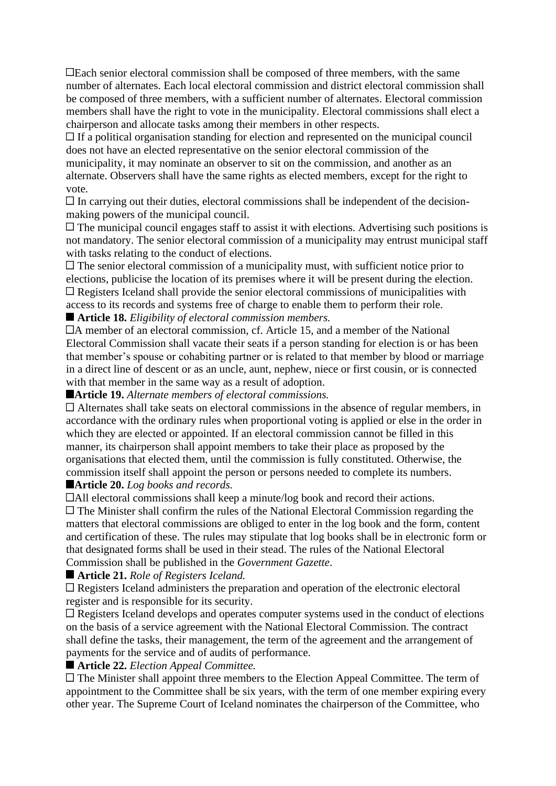Each senior electoral commission shall be composed of three members, with the same number of alternates. Each local electoral commission and district electoral commission shall be composed of three members, with a sufficient number of alternates. Electoral commission members shall have the right to vote in the municipality. Electoral commissions shall elect a chairperson and allocate tasks among their members in other respects.

 $\Box$  If a political organisation standing for election and represented on the municipal council does not have an elected representative on the senior electoral commission of the municipality, it may nominate an observer to sit on the commission, and another as an alternate. Observers shall have the same rights as elected members, except for the right to vote.

 $\Box$  In carrying out their duties, electoral commissions shall be independent of the decisionmaking powers of the municipal council.

 $\Box$  The municipal council engages staff to assist it with elections. Advertising such positions is not mandatory. The senior electoral commission of a municipality may entrust municipal staff with tasks relating to the conduct of elections.

 $\Box$  The senior electoral commission of a municipality must, with sufficient notice prior to elections, publicise the location of its premises where it will be present during the election.  $\Box$  Registers Iceland shall provide the senior electoral commissions of municipalities with access to its records and systems free of charge to enable them to perform their role.

**Article 18.** *Eligibility of electoral commission members.*

A member of an electoral commission, cf. Article 15, and a member of the National Electoral Commission shall vacate their seats if a person standing for election is or has been that member's spouse or cohabiting partner or is related to that member by blood or marriage in a direct line of descent or as an uncle, aunt, nephew, niece or first cousin, or is connected with that member in the same way as a result of adoption.

**Article 19.** *Alternate members of electoral commissions.*

 $\Box$  Alternates shall take seats on electoral commissions in the absence of regular members, in accordance with the ordinary rules when proportional voting is applied or else in the order in which they are elected or appointed. If an electoral commission cannot be filled in this manner, its chairperson shall appoint members to take their place as proposed by the organisations that elected them, until the commission is fully constituted. Otherwise, the commission itself shall appoint the person or persons needed to complete its numbers.

**Article 20.** *Log books and records.*

All electoral commissions shall keep a minute/log book and record their actions.

 $\Box$  The Minister shall confirm the rules of the National Electoral Commission regarding the matters that electoral commissions are obliged to enter in the log book and the form, content and certification of these. The rules may stipulate that log books shall be in electronic form or that designated forms shall be used in their stead. The rules of the National Electoral Commission shall be published in the *Government Gazette*.

**Article 21.** *Role of Registers Iceland.*

Registers Iceland administers the preparation and operation of the electronic electoral register and is responsible for its security.

Registers Iceland develops and operates computer systems used in the conduct of elections on the basis of a service agreement with the National Electoral Commission. The contract shall define the tasks, their management, the term of the agreement and the arrangement of payments for the service and of audits of performance.

■ **Article 22.** *Election Appeal Committee.* 

The Minister shall appoint three members to the Election Appeal Committee. The term of appointment to the Committee shall be six years, with the term of one member expiring every other year. The Supreme Court of Iceland nominates the chairperson of the Committee, who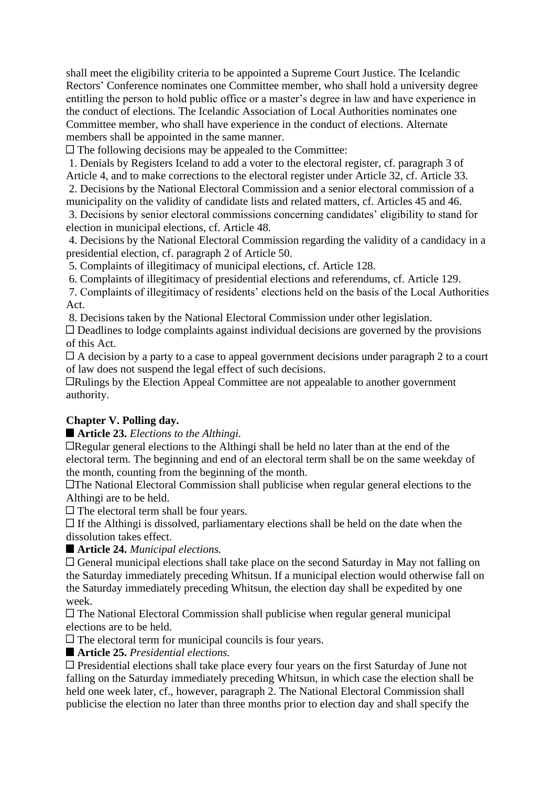shall meet the eligibility criteria to be appointed a Supreme Court Justice. The Icelandic Rectors' Conference nominates one Committee member, who shall hold a university degree entitling the person to hold public office or a master's degree in law and have experience in the conduct of elections. The Icelandic Association of Local Authorities nominates one Committee member, who shall have experience in the conduct of elections. Alternate members shall be appointed in the same manner.

 $\Box$  The following decisions may be appealed to the Committee:

1. Denials by Registers Iceland to add a voter to the electoral register, cf. paragraph 3 of Article 4, and to make corrections to the electoral register under Article 32, cf. Article 33.

2. Decisions by the National Electoral Commission and a senior electoral commission of a municipality on the validity of candidate lists and related matters, cf. Articles 45 and 46.

3. Decisions by senior electoral commissions concerning candidates' eligibility to stand for election in municipal elections, cf. Article 48.

4. Decisions by the National Electoral Commission regarding the validity of a candidacy in a presidential election, cf. paragraph 2 of Article 50.

5. Complaints of illegitimacy of municipal elections, cf. Article 128.

6. Complaints of illegitimacy of presidential elections and referendums, cf. Article 129.

7. Complaints of illegitimacy of residents' elections held on the basis of the Local Authorities Act.

8. Decisions taken by the National Electoral Commission under other legislation.

 $\Box$  Deadlines to lodge complaints against individual decisions are governed by the provisions of this Act.

 $\Box$  A decision by a party to a case to appeal government decisions under paragraph 2 to a court of law does not suspend the legal effect of such decisions.

Rulings by the Election Appeal Committee are not appealable to another government authority.

## **Chapter V. Polling day.**

**Article 23.** *Elections to the Althingi.*

Regular general elections to the Althingi shall be held no later than at the end of the electoral term. The beginning and end of an electoral term shall be on the same weekday of the month, counting from the beginning of the month.

The National Electoral Commission shall publicise when regular general elections to the Althingi are to be held.

 $\Box$  The electoral term shall be four years.

 $\Box$  If the Althingi is dissolved, parliamentary elections shall be held on the date when the dissolution takes effect.

**Article 24.** *Municipal elections.*

General municipal elections shall take place on the second Saturday in May not falling on the Saturday immediately preceding Whitsun. If a municipal election would otherwise fall on the Saturday immediately preceding Whitsun, the election day shall be expedited by one week.

 $\Box$  The National Electoral Commission shall publicise when regular general municipal elections are to be held.

The electoral term for municipal councils is four years.

**Article 25.** *Presidential elections.*

Presidential elections shall take place every four years on the first Saturday of June not falling on the Saturday immediately preceding Whitsun, in which case the election shall be held one week later, cf., however, paragraph 2. The National Electoral Commission shall publicise the election no later than three months prior to election day and shall specify the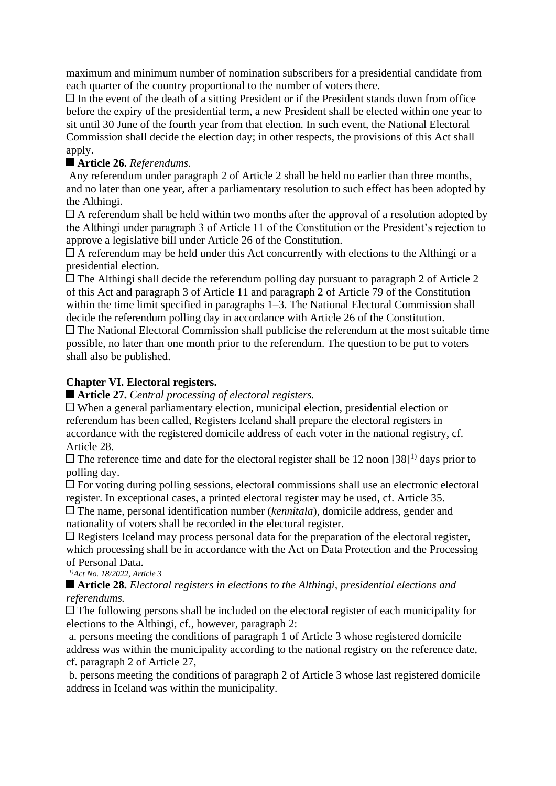maximum and minimum number of nomination subscribers for a presidential candidate from each quarter of the country proportional to the number of voters there.

 $\Box$  In the event of the death of a sitting President or if the President stands down from office before the expiry of the presidential term, a new President shall be elected within one year to sit until 30 June of the fourth year from that election. In such event, the National Electoral Commission shall decide the election day; in other respects, the provisions of this Act shall apply.

# **Article 26.** *Referendums.*

Any referendum under paragraph 2 of Article 2 shall be held no earlier than three months, and no later than one year, after a parliamentary resolution to such effect has been adopted by the Althingi.

 $\Box$  A referendum shall be held within two months after the approval of a resolution adopted by the Althingi under paragraph 3 of Article 11 of the Constitution or the President's rejection to approve a legislative bill under Article 26 of the Constitution.

 $\Box$  A referendum may be held under this Act concurrently with elections to the Althingi or a presidential election.

 $\Box$  The Althingi shall decide the referendum polling day pursuant to paragraph 2 of Article 2 of this Act and paragraph 3 of Article 11 and paragraph 2 of Article 79 of the Constitution within the time limit specified in paragraphs 1–3. The National Electoral Commission shall decide the referendum polling day in accordance with Article 26 of the Constitution.

 $\Box$  The National Electoral Commission shall publicise the referendum at the most suitable time possible, no later than one month prior to the referendum. The question to be put to voters shall also be published.

## **Chapter VI. Electoral registers.**

**Article 27.** *Central processing of electoral registers.*

When a general parliamentary election, municipal election, presidential election or referendum has been called, Registers Iceland shall prepare the electoral registers in accordance with the registered domicile address of each voter in the national registry, cf. Article 28.

 $\Box$  The reference time and date for the electoral register shall be 12 noon [38]<sup>1)</sup> days prior to polling day.

For voting during polling sessions, electoral commissions shall use an electronic electoral register. In exceptional cases, a printed electoral register may be used, cf. Article 35.

The name, personal identification number (*kennitala*), domicile address, gender and nationality of voters shall be recorded in the electoral register.

Registers Iceland may process personal data for the preparation of the electoral register, which processing shall be in accordance with the Act on Data Protection and the Processing of Personal Data.

*1)Act No. 18/2022, Article 3*

#### **Article 28.** *Electoral registers in elections to the Althingi, presidential elections and referendums.*

 $\Box$  The following persons shall be included on the electoral register of each municipality for elections to the Althingi, cf., however, paragraph 2:

a. persons meeting the conditions of paragraph 1 of Article 3 whose registered domicile address was within the municipality according to the national registry on the reference date, cf. paragraph 2 of Article 27,

b. persons meeting the conditions of paragraph 2 of Article 3 whose last registered domicile address in Iceland was within the municipality.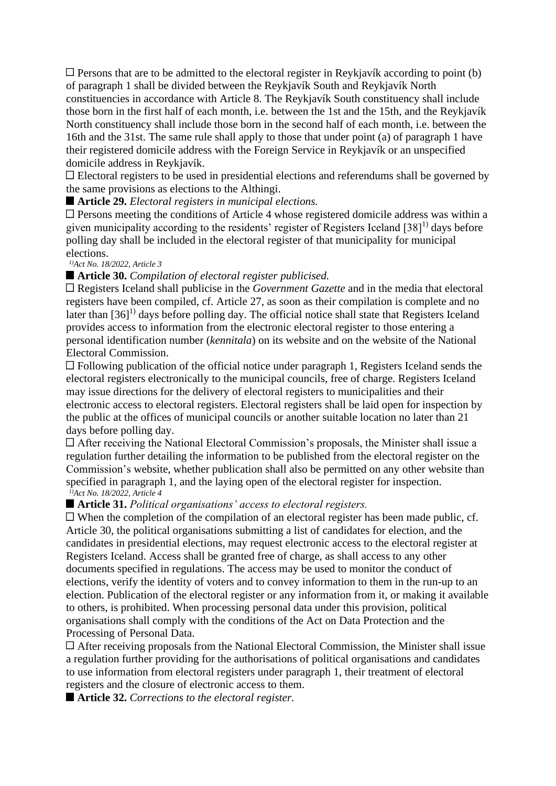$\Box$  Persons that are to be admitted to the electoral register in Reykjavík according to point (b) of paragraph 1 shall be divided between the Reykjavík South and Reykjavík North constituencies in accordance with Article 8. The Reykjavík South constituency shall include those born in the first half of each month, i.e. between the 1st and the 15th, and the Reykjavík North constituency shall include those born in the second half of each month, i.e. between the 16th and the 31st. The same rule shall apply to those that under point (a) of paragraph 1 have their registered domicile address with the Foreign Service in Reykjavík or an unspecified domicile address in Reykjavík.

Electoral registers to be used in presidential elections and referendums shall be governed by the same provisions as elections to the Althingi.

**Article 29.** *Electoral registers in municipal elections.*

Persons meeting the conditions of Article 4 whose registered domicile address was within a given municipality according to the residents' register of Registers Iceland  $[38]$ <sup>1)</sup> days before polling day shall be included in the electoral register of that municipality for municipal elections.

*1)Act No. 18/2022, Article 3*

#### **Article 30.** *Compilation of electoral register publicised.*

Registers Iceland shall publicise in the *Government Gazette* and in the media that electoral registers have been compiled, cf. Article 27, as soon as their compilation is complete and no later than  $[36]$ <sup>1)</sup> days before polling day. The official notice shall state that Registers Iceland provides access to information from the electronic electoral register to those entering a personal identification number (*kennitala*) on its website and on the website of the National Electoral Commission.

 $\Box$  Following publication of the official notice under paragraph 1, Registers Iceland sends the electoral registers electronically to the municipal councils, free of charge. Registers Iceland may issue directions for the delivery of electoral registers to municipalities and their electronic access to electoral registers. Electoral registers shall be laid open for inspection by the public at the offices of municipal councils or another suitable location no later than 21 days before polling day.

After receiving the National Electoral Commission's proposals, the Minister shall issue a regulation further detailing the information to be published from the electoral register on the Commission's website, whether publication shall also be permitted on any other website than specified in paragraph 1, and the laying open of the electoral register for inspection. *1)Act No. 18/2022, Article 4*

#### **Article 31.** *Political organisations' access to electoral registers.*

 $\Box$  When the completion of the compilation of an electoral register has been made public, cf. Article 30, the political organisations submitting a list of candidates for election, and the candidates in presidential elections, may request electronic access to the electoral register at Registers Iceland. Access shall be granted free of charge, as shall access to any other documents specified in regulations. The access may be used to monitor the conduct of elections, verify the identity of voters and to convey information to them in the run-up to an election. Publication of the electoral register or any information from it, or making it available to others, is prohibited. When processing personal data under this provision, political organisations shall comply with the conditions of the Act on Data Protection and the Processing of Personal Data.

After receiving proposals from the National Electoral Commission, the Minister shall issue a regulation further providing for the authorisations of political organisations and candidates to use information from electoral registers under paragraph 1, their treatment of electoral registers and the closure of electronic access to them.

■ **Article 32.** *Corrections to the electoral register.*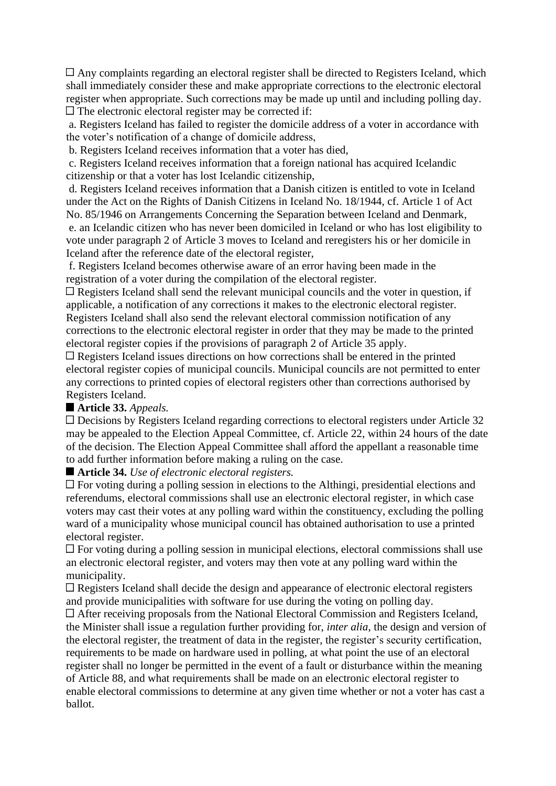Any complaints regarding an electoral register shall be directed to Registers Iceland, which shall immediately consider these and make appropriate corrections to the electronic electoral register when appropriate. Such corrections may be made up until and including polling day.  $\Box$  The electronic electoral register may be corrected if:

a. Registers Iceland has failed to register the domicile address of a voter in accordance with the voter's notification of a change of domicile address,

b. Registers Iceland receives information that a voter has died,

c. Registers Iceland receives information that a foreign national has acquired Icelandic citizenship or that a voter has lost Icelandic citizenship,

d. Registers Iceland receives information that a Danish citizen is entitled to vote in Iceland under the Act on the Rights of Danish Citizens in Iceland No. 18/1944, cf. Article 1 of Act No. 85/1946 on Arrangements Concerning the Separation between Iceland and Denmark, e. an Icelandic citizen who has never been domiciled in Iceland or who has lost eligibility to vote under paragraph 2 of Article 3 moves to Iceland and reregisters his or her domicile in Iceland after the reference date of the electoral register,

f. Registers Iceland becomes otherwise aware of an error having been made in the registration of a voter during the compilation of the electoral register.

 $\Box$  Registers Iceland shall send the relevant municipal councils and the voter in question, if applicable, a notification of any corrections it makes to the electronic electoral register. Registers Iceland shall also send the relevant electoral commission notification of any corrections to the electronic electoral register in order that they may be made to the printed electoral register copies if the provisions of paragraph 2 of Article 35 apply.

 $\Box$  Registers Iceland issues directions on how corrections shall be entered in the printed electoral register copies of municipal councils. Municipal councils are not permitted to enter any corrections to printed copies of electoral registers other than corrections authorised by Registers Iceland.

## **Article 33.** *Appeals.*

Decisions by Registers Iceland regarding corrections to electoral registers under Article 32 may be appealed to the Election Appeal Committee, cf. Article 22, within 24 hours of the date of the decision. The Election Appeal Committee shall afford the appellant a reasonable time to add further information before making a ruling on the case.

**Article 34.** *Use of electronic electoral registers.*

For voting during a polling session in elections to the Althingi, presidential elections and referendums, electoral commissions shall use an electronic electoral register, in which case voters may cast their votes at any polling ward within the constituency, excluding the polling ward of a municipality whose municipal council has obtained authorisation to use a printed electoral register.

 $\Box$  For voting during a polling session in municipal elections, electoral commissions shall use an electronic electoral register, and voters may then vote at any polling ward within the municipality.

Registers Iceland shall decide the design and appearance of electronic electoral registers and provide municipalities with software for use during the voting on polling day.

After receiving proposals from the National Electoral Commission and Registers Iceland, the Minister shall issue a regulation further providing for, *inter alia*, the design and version of the electoral register, the treatment of data in the register, the register's security certification, requirements to be made on hardware used in polling, at what point the use of an electoral register shall no longer be permitted in the event of a fault or disturbance within the meaning of Article 88, and what requirements shall be made on an electronic electoral register to enable electoral commissions to determine at any given time whether or not a voter has cast a ballot.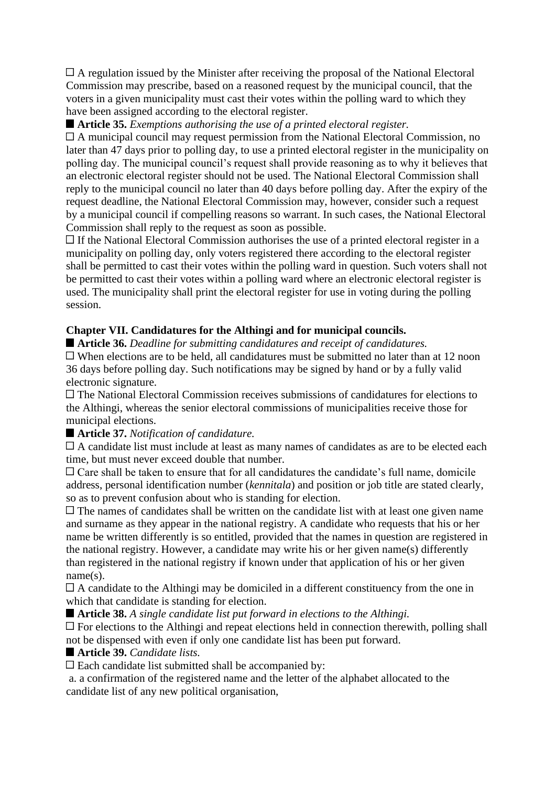A regulation issued by the Minister after receiving the proposal of the National Electoral Commission may prescribe, based on a reasoned request by the municipal council, that the voters in a given municipality must cast their votes within the polling ward to which they have been assigned according to the electoral register.

**Article 35.** *Exemptions authorising the use of a printed electoral register.*

A municipal council may request permission from the National Electoral Commission, no later than 47 days prior to polling day, to use a printed electoral register in the municipality on polling day. The municipal council's request shall provide reasoning as to why it believes that an electronic electoral register should not be used. The National Electoral Commission shall reply to the municipal council no later than 40 days before polling day. After the expiry of the request deadline, the National Electoral Commission may, however, consider such a request by a municipal council if compelling reasons so warrant. In such cases, the National Electoral Commission shall reply to the request as soon as possible.

 $\Box$  If the National Electoral Commission authorises the use of a printed electoral register in a municipality on polling day, only voters registered there according to the electoral register shall be permitted to cast their votes within the polling ward in question. Such voters shall not be permitted to cast their votes within a polling ward where an electronic electoral register is used. The municipality shall print the electoral register for use in voting during the polling session.

## **Chapter VII. Candidatures for the Althingi and for municipal councils.**

**Article 36.** *Deadline for submitting candidatures and receipt of candidatures.*

 $\Box$  When elections are to be held, all candidatures must be submitted no later than at 12 noon 36 days before polling day. Such notifications may be signed by hand or by a fully valid electronic signature.

The National Electoral Commission receives submissions of candidatures for elections to the Althingi, whereas the senior electoral commissions of municipalities receive those for municipal elections.

## **Article 37.** *Notification of candidature.*

 $\Box$  A candidate list must include at least as many names of candidates as are to be elected each time, but must never exceed double that number.

 $\Box$  Care shall be taken to ensure that for all candidatures the candidate's full name, domicile address, personal identification number (*kennitala*) and position or job title are stated clearly, so as to prevent confusion about who is standing for election.

 $\Box$  The names of candidates shall be written on the candidate list with at least one given name and surname as they appear in the national registry. A candidate who requests that his or her name be written differently is so entitled, provided that the names in question are registered in the national registry. However, a candidate may write his or her given name(s) differently than registered in the national registry if known under that application of his or her given name(s).

A candidate to the Althingi may be domiciled in a different constituency from the one in which that candidate is standing for election.

**Article 38.** *A single candidate list put forward in elections to the Althingi.*

 $\Box$  For elections to the Althingi and repeat elections held in connection therewith, polling shall not be dispensed with even if only one candidate list has been put forward.

**Article 39.** *Candidate lists.*

Each candidate list submitted shall be accompanied by:

a. a confirmation of the registered name and the letter of the alphabet allocated to the candidate list of any new political organisation,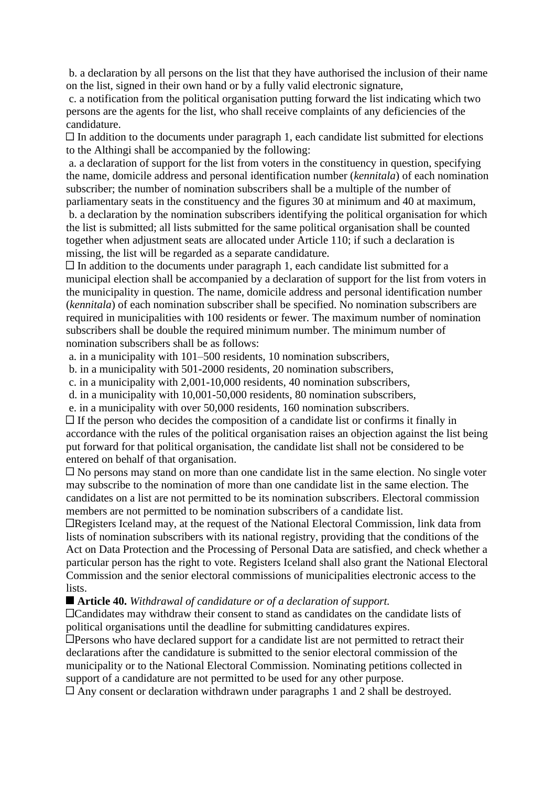b. a declaration by all persons on the list that they have authorised the inclusion of their name on the list, signed in their own hand or by a fully valid electronic signature,

c. a notification from the political organisation putting forward the list indicating which two persons are the agents for the list, who shall receive complaints of any deficiencies of the candidature.

 $\Box$  In addition to the documents under paragraph 1, each candidate list submitted for elections to the Althingi shall be accompanied by the following:

a. a declaration of support for the list from voters in the constituency in question, specifying the name, domicile address and personal identification number (*kennitala*) of each nomination subscriber; the number of nomination subscribers shall be a multiple of the number of parliamentary seats in the constituency and the figures 30 at minimum and 40 at maximum,

b. a declaration by the nomination subscribers identifying the political organisation for which the list is submitted; all lists submitted for the same political organisation shall be counted together when adjustment seats are allocated under Article 110; if such a declaration is missing, the list will be regarded as a separate candidature.

 $\Box$  In addition to the documents under paragraph 1, each candidate list submitted for a municipal election shall be accompanied by a declaration of support for the list from voters in the municipality in question. The name, domicile address and personal identification number (*kennitala*) of each nomination subscriber shall be specified. No nomination subscribers are required in municipalities with 100 residents or fewer. The maximum number of nomination subscribers shall be double the required minimum number. The minimum number of nomination subscribers shall be as follows:

a. in a municipality with 101–500 residents, 10 nomination subscribers,

b. in a municipality with 501-2000 residents, 20 nomination subscribers,

c. in a municipality with 2,001-10,000 residents, 40 nomination subscribers,

d. in a municipality with 10,001-50,000 residents, 80 nomination subscribers,

e. in a municipality with over 50,000 residents, 160 nomination subscribers.

 $\Box$  If the person who decides the composition of a candidate list or confirms it finally in accordance with the rules of the political organisation raises an objection against the list being put forward for that political organisation, the candidate list shall not be considered to be entered on behalf of that organisation.

No persons may stand on more than one candidate list in the same election. No single voter may subscribe to the nomination of more than one candidate list in the same election. The candidates on a list are not permitted to be its nomination subscribers. Electoral commission members are not permitted to be nomination subscribers of a candidate list.

Registers Iceland may, at the request of the National Electoral Commission, link data from lists of nomination subscribers with its national registry, providing that the conditions of the Act on Data Protection and the Processing of Personal Data are satisfied, and check whether a particular person has the right to vote. Registers Iceland shall also grant the National Electoral Commission and the senior electoral commissions of municipalities electronic access to the lists.

**Article 40.** *Withdrawal of candidature or of a declaration of support.*

Candidates may withdraw their consent to stand as candidates on the candidate lists of political organisations until the deadline for submitting candidatures expires.

 $\Box$  Persons who have declared support for a candidate list are not permitted to retract their declarations after the candidature is submitted to the senior electoral commission of the municipality or to the National Electoral Commission. Nominating petitions collected in support of a candidature are not permitted to be used for any other purpose.

Any consent or declaration withdrawn under paragraphs 1 and 2 shall be destroyed.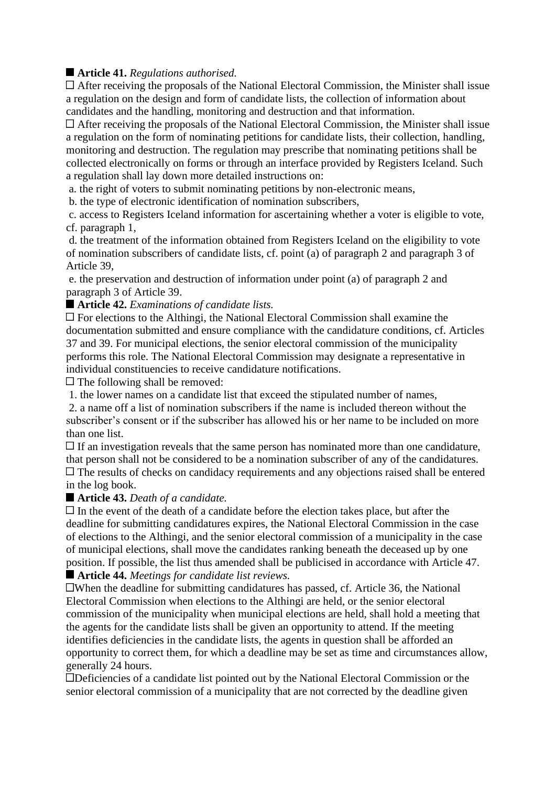# **Article 41.** *Regulations authorised.*

 $\Box$  After receiving the proposals of the National Electoral Commission, the Minister shall issue a regulation on the design and form of candidate lists, the collection of information about candidates and the handling, monitoring and destruction and that information.

After receiving the proposals of the National Electoral Commission, the Minister shall issue a regulation on the form of nominating petitions for candidate lists, their collection, handling, monitoring and destruction. The regulation may prescribe that nominating petitions shall be collected electronically on forms or through an interface provided by Registers Iceland. Such a regulation shall lay down more detailed instructions on:

a. the right of voters to submit nominating petitions by non-electronic means,

b. the type of electronic identification of nomination subscribers,

c. access to Registers Iceland information for ascertaining whether a voter is eligible to vote, cf. paragraph 1,

d. the treatment of the information obtained from Registers Iceland on the eligibility to vote of nomination subscribers of candidate lists, cf. point (a) of paragraph 2 and paragraph 3 of Article 39,

e. the preservation and destruction of information under point (a) of paragraph 2 and paragraph 3 of Article 39.

■ **Article 42.** *Examinations of candidate lists.* 

 $\Box$  For elections to the Althingi, the National Electoral Commission shall examine the documentation submitted and ensure compliance with the candidature conditions, cf. Articles 37 and 39. For municipal elections, the senior electoral commission of the municipality performs this role. The National Electoral Commission may designate a representative in individual constituencies to receive candidature notifications.

 $\Box$  The following shall be removed:

1. the lower names on a candidate list that exceed the stipulated number of names,

2. a name off a list of nomination subscribers if the name is included thereon without the subscriber's consent or if the subscriber has allowed his or her name to be included on more than one list.

 $\Box$  If an investigation reveals that the same person has nominated more than one candidature, that person shall not be considered to be a nomination subscriber of any of the candidatures. The results of checks on candidacy requirements and any objections raised shall be entered in the log book.

## **Article 43.** *Death of a candidate.*

 $\Box$  In the event of the death of a candidate before the election takes place, but after the deadline for submitting candidatures expires, the National Electoral Commission in the case of elections to the Althingi, and the senior electoral commission of a municipality in the case of municipal elections, shall move the candidates ranking beneath the deceased up by one position. If possible, the list thus amended shall be publicised in accordance with Article 47.

# **Article 44.** *Meetings for candidate list reviews.*

When the deadline for submitting candidatures has passed, cf. Article 36, the National Electoral Commission when elections to the Althingi are held, or the senior electoral commission of the municipality when municipal elections are held, shall hold a meeting that the agents for the candidate lists shall be given an opportunity to attend. If the meeting identifies deficiencies in the candidate lists, the agents in question shall be afforded an opportunity to correct them, for which a deadline may be set as time and circumstances allow, generally 24 hours.

Deficiencies of a candidate list pointed out by the National Electoral Commission or the senior electoral commission of a municipality that are not corrected by the deadline given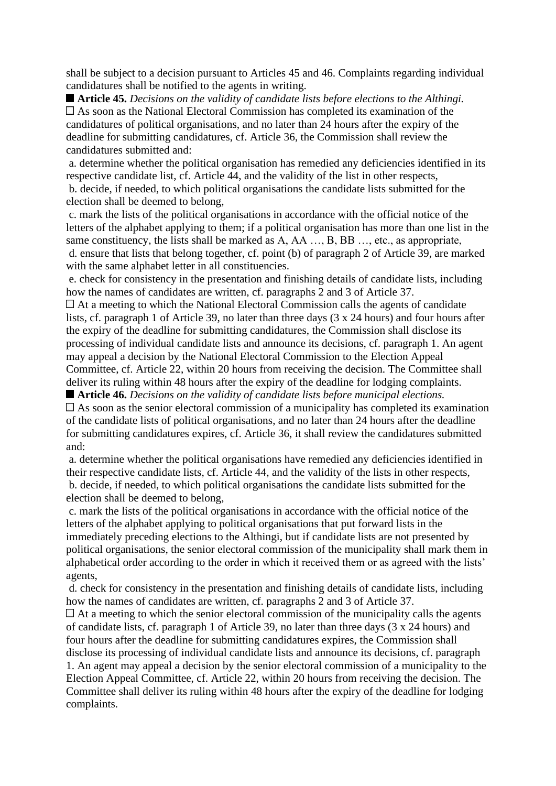shall be subject to a decision pursuant to Articles 45 and 46. Complaints regarding individual candidatures shall be notified to the agents in writing.

**Article 45.** *Decisions on the validity of candidate lists before elections to the Althingi.* As soon as the National Electoral Commission has completed its examination of the candidatures of political organisations, and no later than 24 hours after the expiry of the deadline for submitting candidatures, cf. Article 36, the Commission shall review the candidatures submitted and:

a. determine whether the political organisation has remedied any deficiencies identified in its respective candidate list, cf. Article 44, and the validity of the list in other respects, b. decide, if needed, to which political organisations the candidate lists submitted for the election shall be deemed to belong,

c. mark the lists of the political organisations in accordance with the official notice of the letters of the alphabet applying to them; if a political organisation has more than one list in the same constituency, the lists shall be marked as A, AA …, B, BB …, etc., as appropriate, d. ensure that lists that belong together, cf. point (b) of paragraph 2 of Article 39, are marked with the same alphabet letter in all constituencies.

e. check for consistency in the presentation and finishing details of candidate lists, including how the names of candidates are written, cf. paragraphs 2 and 3 of Article 37.

 $\Box$  At a meeting to which the National Electoral Commission calls the agents of candidate lists, cf. paragraph 1 of Article 39, no later than three days (3 x 24 hours) and four hours after the expiry of the deadline for submitting candidatures, the Commission shall disclose its processing of individual candidate lists and announce its decisions, cf. paragraph 1. An agent may appeal a decision by the National Electoral Commission to the Election Appeal Committee, cf. Article 22, within 20 hours from receiving the decision. The Committee shall deliver its ruling within 48 hours after the expiry of the deadline for lodging complaints.

**Article 46.** *Decisions on the validity of candidate lists before municipal elections.*  $\Box$  As soon as the senior electoral commission of a municipality has completed its examination of the candidate lists of political organisations, and no later than 24 hours after the deadline for submitting candidatures expires, cf. Article 36, it shall review the candidatures submitted and:

a. determine whether the political organisations have remedied any deficiencies identified in their respective candidate lists, cf. Article 44, and the validity of the lists in other respects, b. decide, if needed, to which political organisations the candidate lists submitted for the election shall be deemed to belong,

c. mark the lists of the political organisations in accordance with the official notice of the letters of the alphabet applying to political organisations that put forward lists in the immediately preceding elections to the Althingi, but if candidate lists are not presented by political organisations, the senior electoral commission of the municipality shall mark them in alphabetical order according to the order in which it received them or as agreed with the lists' agents,

d. check for consistency in the presentation and finishing details of candidate lists, including how the names of candidates are written, cf. paragraphs 2 and 3 of Article 37.

 $\Box$  At a meeting to which the senior electoral commission of the municipality calls the agents of candidate lists, cf. paragraph 1 of Article 39, no later than three days (3 x 24 hours) and four hours after the deadline for submitting candidatures expires, the Commission shall disclose its processing of individual candidate lists and announce its decisions, cf. paragraph 1. An agent may appeal a decision by the senior electoral commission of a municipality to the Election Appeal Committee, cf. Article 22, within 20 hours from receiving the decision. The Committee shall deliver its ruling within 48 hours after the expiry of the deadline for lodging complaints.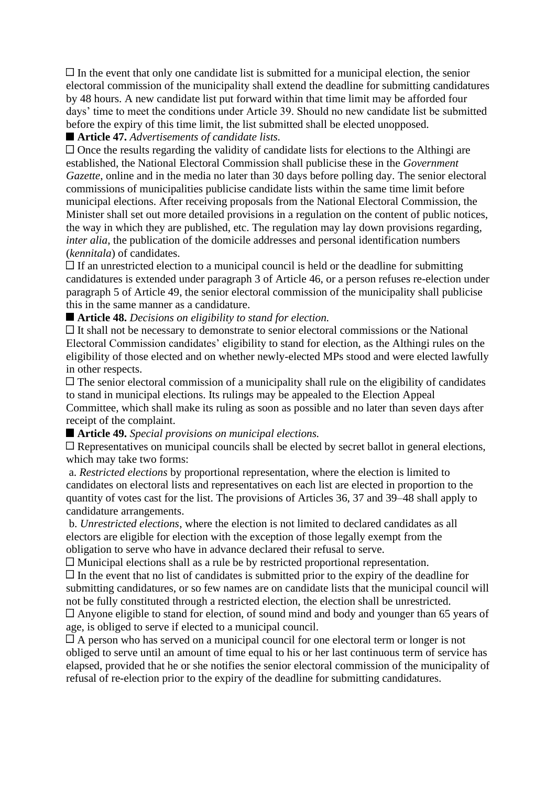$\Box$  In the event that only one candidate list is submitted for a municipal election, the senior electoral commission of the municipality shall extend the deadline for submitting candidatures by 48 hours. A new candidate list put forward within that time limit may be afforded four days' time to meet the conditions under Article 39. Should no new candidate list be submitted before the expiry of this time limit, the list submitted shall be elected unopposed.

# **Article 47.** *Advertisements of candidate lists.*

 $\Box$  Once the results regarding the validity of candidate lists for elections to the Althingi are established, the National Electoral Commission shall publicise these in the *Government Gazette*, online and in the media no later than 30 days before polling day. The senior electoral commissions of municipalities publicise candidate lists within the same time limit before municipal elections. After receiving proposals from the National Electoral Commission, the Minister shall set out more detailed provisions in a regulation on the content of public notices, the way in which they are published, etc. The regulation may lay down provisions regarding, *inter alia*, the publication of the domicile addresses and personal identification numbers (*kennitala*) of candidates.

 $\Box$  If an unrestricted election to a municipal council is held or the deadline for submitting candidatures is extended under paragraph 3 of Article 46, or a person refuses re-election under paragraph 5 of Article 49, the senior electoral commission of the municipality shall publicise this in the same manner as a candidature.

# **Article 48.** *Decisions on eligibility to stand for election.*

 $\Box$  It shall not be necessary to demonstrate to senior electoral commissions or the National Electoral Commission candidates' eligibility to stand for election, as the Althingi rules on the eligibility of those elected and on whether newly-elected MPs stood and were elected lawfully in other respects.

 $\Box$  The senior electoral commission of a municipality shall rule on the eligibility of candidates to stand in municipal elections. Its rulings may be appealed to the Election Appeal Committee, which shall make its ruling as soon as possible and no later than seven days after receipt of the complaint.

**Article 49.** *Special provisions on municipal elections.*

 $\Box$  Representatives on municipal councils shall be elected by secret ballot in general elections, which may take two forms:

a. *Restricted elections* by proportional representation, where the election is limited to candidates on electoral lists and representatives on each list are elected in proportion to the quantity of votes cast for the list. The provisions of Articles 36, 37 and 39–48 shall apply to candidature arrangements.

b. *Unrestricted elections*, where the election is not limited to declared candidates as all electors are eligible for election with the exception of those legally exempt from the obligation to serve who have in advance declared their refusal to serve.

Municipal elections shall as a rule be by restricted proportional representation.

 $\Box$  In the event that no list of candidates is submitted prior to the expiry of the deadline for submitting candidatures, or so few names are on candidate lists that the municipal council will not be fully constituted through a restricted election, the election shall be unrestricted.

Anyone eligible to stand for election, of sound mind and body and younger than 65 years of age, is obliged to serve if elected to a municipal council.

 $\Box$  A person who has served on a municipal council for one electoral term or longer is not obliged to serve until an amount of time equal to his or her last continuous term of service has elapsed, provided that he or she notifies the senior electoral commission of the municipality of refusal of re-election prior to the expiry of the deadline for submitting candidatures.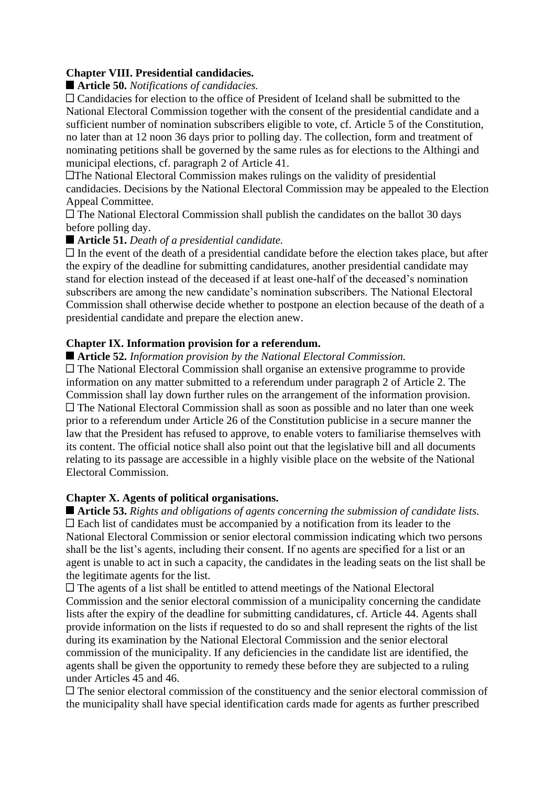## **Chapter VIII. Presidential candidacies.**

#### ■ **Article 50.** *Notifications of candidacies.*

Candidacies for election to the office of President of Iceland shall be submitted to the National Electoral Commission together with the consent of the presidential candidate and a sufficient number of nomination subscribers eligible to vote, cf. Article 5 of the Constitution, no later than at 12 noon 36 days prior to polling day. The collection, form and treatment of nominating petitions shall be governed by the same rules as for elections to the Althingi and municipal elections, cf. paragraph 2 of Article 41.

The National Electoral Commission makes rulings on the validity of presidential candidacies. Decisions by the National Electoral Commission may be appealed to the Election Appeal Committee.

 $\Box$  The National Electoral Commission shall publish the candidates on the ballot 30 days before polling day.

#### **Article 51.** *Death of a presidential candidate.*

 $\Box$  In the event of the death of a presidential candidate before the election takes place, but after the expiry of the deadline for submitting candidatures, another presidential candidate may stand for election instead of the deceased if at least one-half of the deceased's nomination subscribers are among the new candidate's nomination subscribers. The National Electoral Commission shall otherwise decide whether to postpone an election because of the death of a presidential candidate and prepare the election anew.

## **Chapter IX. Information provision for a referendum.**

**Article 52.** *Information provision by the National Electoral Commission.*

 $\Box$  The National Electoral Commission shall organise an extensive programme to provide information on any matter submitted to a referendum under paragraph 2 of Article 2. The Commission shall lay down further rules on the arrangement of the information provision. The National Electoral Commission shall as soon as possible and no later than one week prior to a referendum under Article 26 of the Constitution publicise in a secure manner the law that the President has refused to approve, to enable voters to familiarise themselves with its content. The official notice shall also point out that the legislative bill and all documents relating to its passage are accessible in a highly visible place on the website of the National Electoral Commission.

## **Chapter X. Agents of political organisations.**

**Article 53.** *Rights and obligations of agents concerning the submission of candidate lists.*  $\Box$  Each list of candidates must be accompanied by a notification from its leader to the National Electoral Commission or senior electoral commission indicating which two persons shall be the list's agents, including their consent. If no agents are specified for a list or an agent is unable to act in such a capacity, the candidates in the leading seats on the list shall be the legitimate agents for the list.

The agents of a list shall be entitled to attend meetings of the National Electoral Commission and the senior electoral commission of a municipality concerning the candidate lists after the expiry of the deadline for submitting candidatures, cf. Article 44. Agents shall provide information on the lists if requested to do so and shall represent the rights of the list during its examination by the National Electoral Commission and the senior electoral commission of the municipality. If any deficiencies in the candidate list are identified, the agents shall be given the opportunity to remedy these before they are subjected to a ruling under Articles 45 and 46.

The senior electoral commission of the constituency and the senior electoral commission of the municipality shall have special identification cards made for agents as further prescribed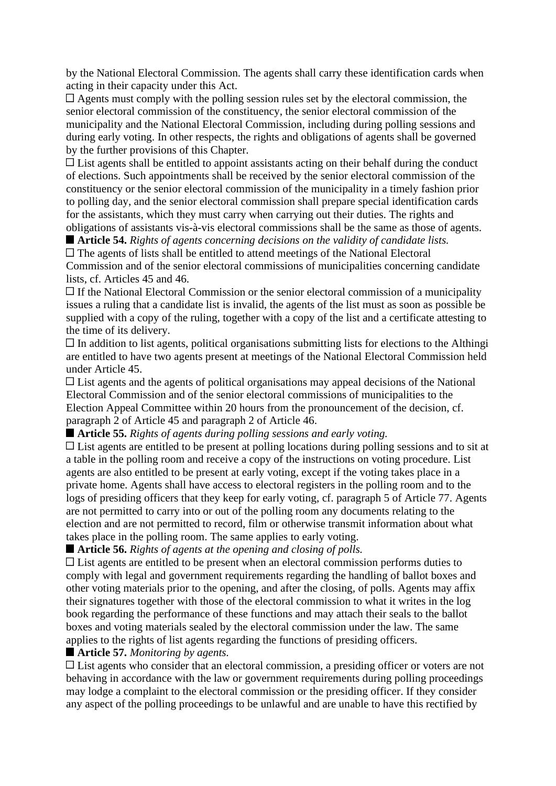by the National Electoral Commission. The agents shall carry these identification cards when acting in their capacity under this Act.

 $\Box$  Agents must comply with the polling session rules set by the electoral commission, the senior electoral commission of the constituency, the senior electoral commission of the municipality and the National Electoral Commission, including during polling sessions and during early voting. In other respects, the rights and obligations of agents shall be governed by the further provisions of this Chapter.

 $\Box$  List agents shall be entitled to appoint assistants acting on their behalf during the conduct of elections. Such appointments shall be received by the senior electoral commission of the constituency or the senior electoral commission of the municipality in a timely fashion prior to polling day, and the senior electoral commission shall prepare special identification cards for the assistants, which they must carry when carrying out their duties. The rights and obligations of assistants vis-à-vis electoral commissions shall be the same as those of agents.

**Article 54.** *Rights of agents concerning decisions on the validity of candidate lists.*

The agents of lists shall be entitled to attend meetings of the National Electoral Commission and of the senior electoral commissions of municipalities concerning candidate lists, cf. Articles 45 and 46.

 $\Box$  If the National Electoral Commission or the senior electoral commission of a municipality issues a ruling that a candidate list is invalid, the agents of the list must as soon as possible be supplied with a copy of the ruling, together with a copy of the list and a certificate attesting to the time of its delivery.

 $\Box$  In addition to list agents, political organisations submitting lists for elections to the Althingi are entitled to have two agents present at meetings of the National Electoral Commission held under Article 45.

List agents and the agents of political organisations may appeal decisions of the National Electoral Commission and of the senior electoral commissions of municipalities to the Election Appeal Committee within 20 hours from the pronouncement of the decision, cf. paragraph 2 of Article 45 and paragraph 2 of Article 46.

**Article 55.** *Rights of agents during polling sessions and early voting.*

List agents are entitled to be present at polling locations during polling sessions and to sit at a table in the polling room and receive a copy of the instructions on voting procedure. List agents are also entitled to be present at early voting, except if the voting takes place in a private home. Agents shall have access to electoral registers in the polling room and to the logs of presiding officers that they keep for early voting, cf. paragraph 5 of Article 77. Agents are not permitted to carry into or out of the polling room any documents relating to the election and are not permitted to record, film or otherwise transmit information about what takes place in the polling room. The same applies to early voting.

**Article 56.** *Rights of agents at the opening and closing of polls.*

List agents are entitled to be present when an electoral commission performs duties to comply with legal and government requirements regarding the handling of ballot boxes and other voting materials prior to the opening, and after the closing, of polls. Agents may affix their signatures together with those of the electoral commission to what it writes in the log book regarding the performance of these functions and may attach their seals to the ballot boxes and voting materials sealed by the electoral commission under the law. The same applies to the rights of list agents regarding the functions of presiding officers.

**Article 57.** *Monitoring by agents.*

□ List agents who consider that an electoral commission, a presiding officer or voters are not behaving in accordance with the law or government requirements during polling proceedings may lodge a complaint to the electoral commission or the presiding officer. If they consider any aspect of the polling proceedings to be unlawful and are unable to have this rectified by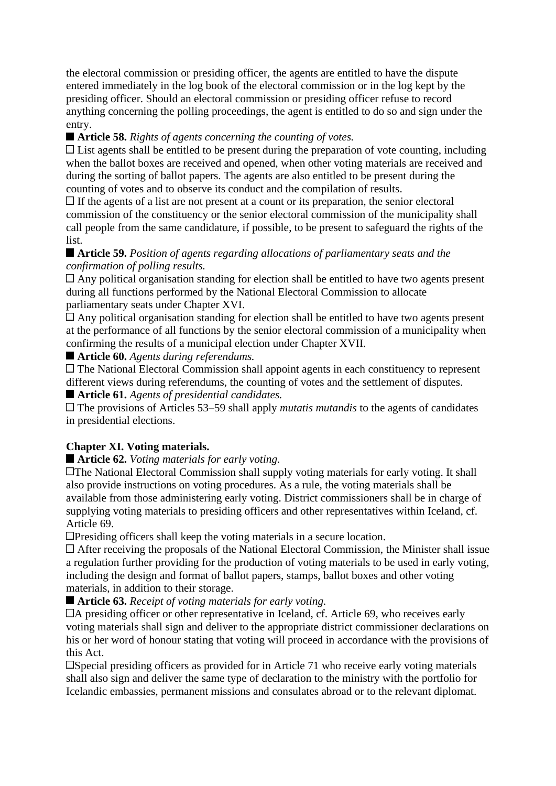the electoral commission or presiding officer, the agents are entitled to have the dispute entered immediately in the log book of the electoral commission or in the log kept by the presiding officer. Should an electoral commission or presiding officer refuse to record anything concerning the polling proceedings, the agent is entitled to do so and sign under the entry.

# **Article 58.** *Rights of agents concerning the counting of votes.*

 $\Box$  List agents shall be entitled to be present during the preparation of vote counting, including when the ballot boxes are received and opened, when other voting materials are received and during the sorting of ballot papers. The agents are also entitled to be present during the counting of votes and to observe its conduct and the compilation of results.

 $\Box$  If the agents of a list are not present at a count or its preparation, the senior electoral commission of the constituency or the senior electoral commission of the municipality shall call people from the same candidature, if possible, to be present to safeguard the rights of the list.

# **Article 59.** *Position of agents regarding allocations of parliamentary seats and the confirmation of polling results.*

 $\Box$  Any political organisation standing for election shall be entitled to have two agents present during all functions performed by the National Electoral Commission to allocate parliamentary seats under Chapter XVI.

Any political organisation standing for election shall be entitled to have two agents present at the performance of all functions by the senior electoral commission of a municipality when confirming the results of a municipal election under Chapter XVII.

**Article 60.** *Agents during referendums.*

The National Electoral Commission shall appoint agents in each constituency to represent different views during referendums, the counting of votes and the settlement of disputes.

**Article 61.** *Agents of presidential candidates.*

The provisions of Articles 53–59 shall apply *mutatis mutandis* to the agents of candidates in presidential elections.

# **Chapter XI. Voting materials.**

## **Article 62.** *Voting materials for early voting.*

**The National Electoral Commission shall supply voting materials for early voting. It shall** also provide instructions on voting procedures. As a rule, the voting materials shall be available from those administering early voting. District commissioners shall be in charge of supplying voting materials to presiding officers and other representatives within Iceland, cf. Article 69.

**Example 3** Presiding officers shall keep the voting materials in a secure location.

 $\Box$  After receiving the proposals of the National Electoral Commission, the Minister shall issue a regulation further providing for the production of voting materials to be used in early voting, including the design and format of ballot papers, stamps, ballot boxes and other voting materials, in addition to their storage.

■ **Article 63.** *Receipt of voting materials for early voting.* 

A presiding officer or other representative in Iceland, cf. Article 69, who receives early voting materials shall sign and deliver to the appropriate district commissioner declarations on his or her word of honour stating that voting will proceed in accordance with the provisions of this Act.

Special presiding officers as provided for in Article 71 who receive early voting materials shall also sign and deliver the same type of declaration to the ministry with the portfolio for Icelandic embassies, permanent missions and consulates abroad or to the relevant diplomat.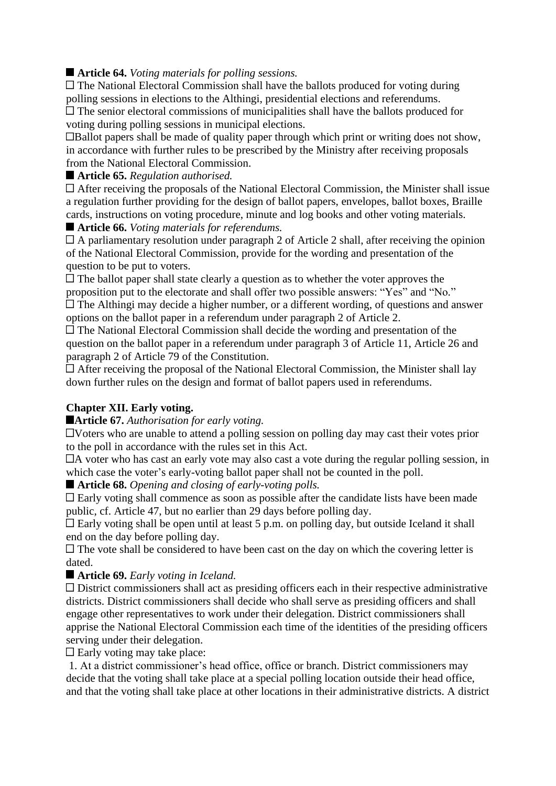# **Article 64.** *Voting materials for polling sessions.*

 $\Box$  The National Electoral Commission shall have the ballots produced for voting during polling sessions in elections to the Althingi, presidential elections and referendums. The senior electoral commissions of municipalities shall have the ballots produced for voting during polling sessions in municipal elections.

Ballot papers shall be made of quality paper through which print or writing does not show, in accordance with further rules to be prescribed by the Ministry after receiving proposals from the National Electoral Commission.

#### **Article 65.** *Regulation authorised.*

After receiving the proposals of the National Electoral Commission, the Minister shall issue a regulation further providing for the design of ballot papers, envelopes, ballot boxes, Braille cards, instructions on voting procedure, minute and log books and other voting materials.

■ **Article 66.** *Voting materials for referendums.* 

 $\Box$  A parliamentary resolution under paragraph 2 of Article 2 shall, after receiving the opinion of the National Electoral Commission, provide for the wording and presentation of the question to be put to voters.

 $\Box$  The ballot paper shall state clearly a question as to whether the voter approves the proposition put to the electorate and shall offer two possible answers: "Yes" and "No." The Althingi may decide a higher number, or a different wording, of questions and answer options on the ballot paper in a referendum under paragraph 2 of Article 2.

 $\Box$  The National Electoral Commission shall decide the wording and presentation of the question on the ballot paper in a referendum under paragraph 3 of Article 11, Article 26 and paragraph 2 of Article 79 of the Constitution.

After receiving the proposal of the National Electoral Commission, the Minister shall lay down further rules on the design and format of ballot papers used in referendums.

## **Chapter XII. Early voting.**

**Article 67.** *Authorisation for early voting.*

Voters who are unable to attend a polling session on polling day may cast their votes prior to the poll in accordance with the rules set in this Act.

 $\Box$  A voter who has cast an early vote may also cast a vote during the regular polling session, in which case the voter's early-voting ballot paper shall not be counted in the poll.

**Article 68.** *Opening and closing of early-voting polls.*

 $\Box$  Early voting shall commence as soon as possible after the candidate lists have been made public, cf. Article 47, but no earlier than 29 days before polling day.

 $\Box$  Early voting shall be open until at least 5 p.m. on polling day, but outside Iceland it shall end on the day before polling day.

 $\Box$  The vote shall be considered to have been cast on the day on which the covering letter is dated.

■ **Article 69.** *Early voting in Iceland.* 

District commissioners shall act as presiding officers each in their respective administrative districts. District commissioners shall decide who shall serve as presiding officers and shall engage other representatives to work under their delegation. District commissioners shall apprise the National Electoral Commission each time of the identities of the presiding officers serving under their delegation.

 $\Box$  Early voting may take place:

1. At a district commissioner's head office, office or branch. District commissioners may decide that the voting shall take place at a special polling location outside their head office, and that the voting shall take place at other locations in their administrative districts. A district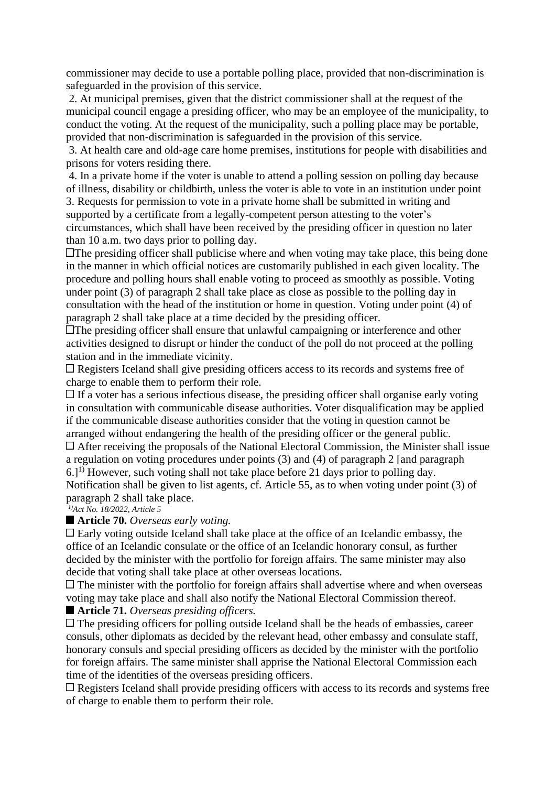commissioner may decide to use a portable polling place, provided that non-discrimination is safeguarded in the provision of this service.

2. At municipal premises, given that the district commissioner shall at the request of the municipal council engage a presiding officer, who may be an employee of the municipality, to conduct the voting. At the request of the municipality, such a polling place may be portable, provided that non-discrimination is safeguarded in the provision of this service.

3. At health care and old-age care home premises, institutions for people with disabilities and prisons for voters residing there.

4. In a private home if the voter is unable to attend a polling session on polling day because of illness, disability or childbirth, unless the voter is able to vote in an institution under point 3. Requests for permission to vote in a private home shall be submitted in writing and supported by a certificate from a legally-competent person attesting to the voter's

circumstances, which shall have been received by the presiding officer in question no later than 10 a.m. two days prior to polling day.

 $\Box$  The presiding officer shall publicise where and when voting may take place, this being done in the manner in which official notices are customarily published in each given locality. The procedure and polling hours shall enable voting to proceed as smoothly as possible. Voting under point (3) of paragraph 2 shall take place as close as possible to the polling day in consultation with the head of the institution or home in question. Voting under point (4) of paragraph 2 shall take place at a time decided by the presiding officer.

The presiding officer shall ensure that unlawful campaigning or interference and other activities designed to disrupt or hinder the conduct of the poll do not proceed at the polling station and in the immediate vicinity.

 $\Box$  Registers Iceland shall give presiding officers access to its records and systems free of charge to enable them to perform their role.

 $\Box$  If a voter has a serious infectious disease, the presiding officer shall organise early voting in consultation with communicable disease authorities. Voter disqualification may be applied if the communicable disease authorities consider that the voting in question cannot be arranged without endangering the health of the presiding officer or the general public.

After receiving the proposals of the National Electoral Commission, the Minister shall issue a regulation on voting procedures under points (3) and (4) of paragraph 2 [and paragraph  $6.$ ]<sup>1)</sup> However, such voting shall not take place before 21 days prior to polling day. Notification shall be given to list agents, cf. Article 55, as to when voting under point (3) of paragraph 2 shall take place.

*1)Act No. 18/2022, Article 5*

#### **Article 70.** *Overseas early voting.*

 $\Box$  Early voting outside Iceland shall take place at the office of an Icelandic embassy, the office of an Icelandic consulate or the office of an Icelandic honorary consul, as further decided by the minister with the portfolio for foreign affairs. The same minister may also decide that voting shall take place at other overseas locations.

 $\Box$  The minister with the portfolio for foreign affairs shall advertise where and when overseas voting may take place and shall also notify the National Electoral Commission thereof.

#### ■ **Article 71.** *Overseas presiding officers.*

 $\Box$  The presiding officers for polling outside Iceland shall be the heads of embassies, career consuls, other diplomats as decided by the relevant head, other embassy and consulate staff, honorary consuls and special presiding officers as decided by the minister with the portfolio for foreign affairs. The same minister shall apprise the National Electoral Commission each time of the identities of the overseas presiding officers.

 $\Box$  Registers Iceland shall provide presiding officers with access to its records and systems free of charge to enable them to perform their role.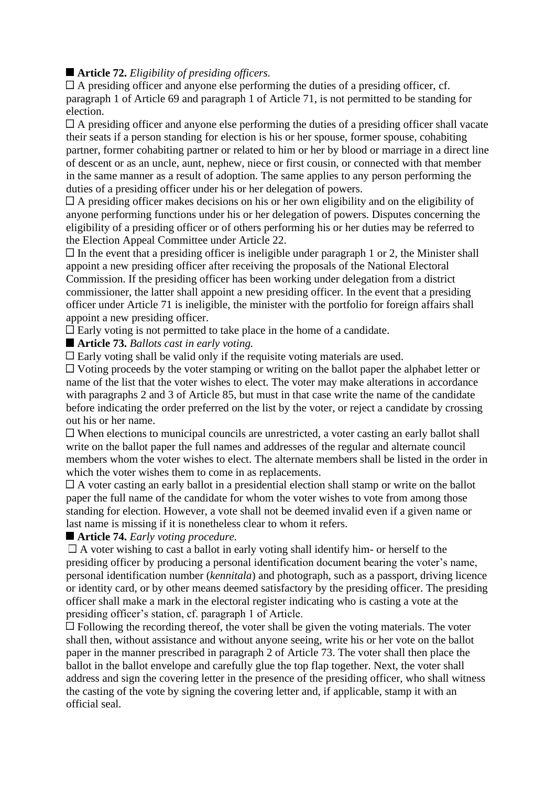## **Article 72.** *Eligibility of presiding officers.*

 $\Box$  A presiding officer and anyone else performing the duties of a presiding officer, cf. paragraph 1 of Article 69 and paragraph 1 of Article 71, is not permitted to be standing for election.

A presiding officer and anyone else performing the duties of a presiding officer shall vacate their seats if a person standing for election is his or her spouse, former spouse, cohabiting partner, former cohabiting partner or related to him or her by blood or marriage in a direct line of descent or as an uncle, aunt, nephew, niece or first cousin, or connected with that member in the same manner as a result of adoption. The same applies to any person performing the duties of a presiding officer under his or her delegation of powers.

 $\Box$  A presiding officer makes decisions on his or her own eligibility and on the eligibility of anyone performing functions under his or her delegation of powers. Disputes concerning the eligibility of a presiding officer or of others performing his or her duties may be referred to the Election Appeal Committee under Article 22.

 $\Box$  In the event that a presiding officer is ineligible under paragraph 1 or 2, the Minister shall appoint a new presiding officer after receiving the proposals of the National Electoral Commission. If the presiding officer has been working under delegation from a district commissioner, the latter shall appoint a new presiding officer. In the event that a presiding officer under Article 71 is ineligible, the minister with the portfolio for foreign affairs shall appoint a new presiding officer.

 $\Box$  Early voting is not permitted to take place in the home of a candidate.

**Article 73.** *Ballots cast in early voting.*

 $\Box$  Early voting shall be valid only if the requisite voting materials are used.

Voting proceeds by the voter stamping or writing on the ballot paper the alphabet letter or name of the list that the voter wishes to elect. The voter may make alterations in accordance with paragraphs 2 and 3 of Article 85, but must in that case write the name of the candidate before indicating the order preferred on the list by the voter, or reject a candidate by crossing out his or her name.

 $\Box$  When elections to municipal councils are unrestricted, a voter casting an early ballot shall write on the ballot paper the full names and addresses of the regular and alternate council members whom the voter wishes to elect. The alternate members shall be listed in the order in which the voter wishes them to come in as replacements.

 $\Box$  A voter casting an early ballot in a presidential election shall stamp or write on the ballot paper the full name of the candidate for whom the voter wishes to vote from among those standing for election. However, a vote shall not be deemed invalid even if a given name or last name is missing if it is nonetheless clear to whom it refers.

## **Article 74.** *Early voting procedure.*

 $\Box$  A voter wishing to cast a ballot in early voting shall identify him- or herself to the presiding officer by producing a personal identification document bearing the voter's name, personal identification number (*kennitala*) and photograph, such as a passport, driving licence or identity card, or by other means deemed satisfactory by the presiding officer. The presiding officer shall make a mark in the electoral register indicating who is casting a vote at the presiding officer's station, cf. paragraph 1 of Article.

 $\Box$  Following the recording thereof, the voter shall be given the voting materials. The voter shall then, without assistance and without anyone seeing, write his or her vote on the ballot paper in the manner prescribed in paragraph 2 of Article 73. The voter shall then place the ballot in the ballot envelope and carefully glue the top flap together. Next, the voter shall address and sign the covering letter in the presence of the presiding officer, who shall witness the casting of the vote by signing the covering letter and, if applicable, stamp it with an official seal.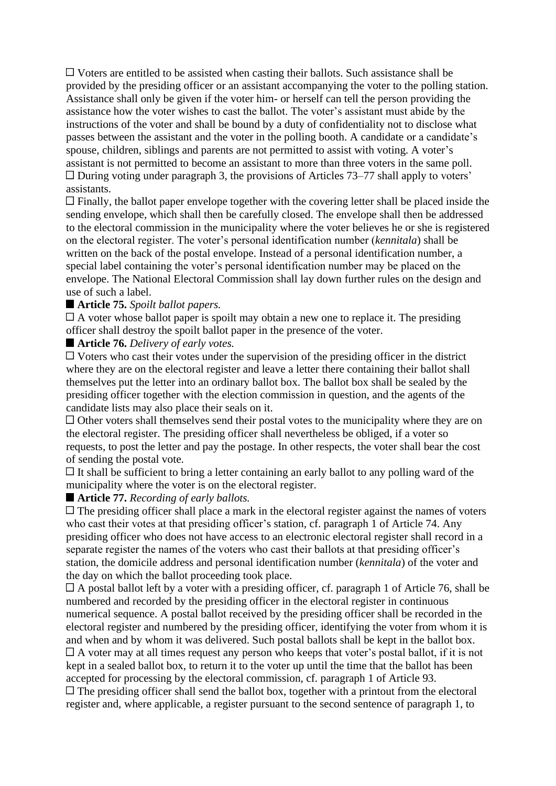$\Box$  Voters are entitled to be assisted when casting their ballots. Such assistance shall be provided by the presiding officer or an assistant accompanying the voter to the polling station. Assistance shall only be given if the voter him- or herself can tell the person providing the assistance how the voter wishes to cast the ballot. The voter's assistant must abide by the instructions of the voter and shall be bound by a duty of confidentiality not to disclose what passes between the assistant and the voter in the polling booth. A candidate or a candidate's spouse, children, siblings and parents are not permitted to assist with voting. A voter's assistant is not permitted to become an assistant to more than three voters in the same poll.  $\Box$  During voting under paragraph 3, the provisions of Articles 73–77 shall apply to voters' assistants.

 $\Box$  Finally, the ballot paper envelope together with the covering letter shall be placed inside the sending envelope, which shall then be carefully closed. The envelope shall then be addressed to the electoral commission in the municipality where the voter believes he or she is registered on the electoral register. The voter's personal identification number (*kennitala*) shall be written on the back of the postal envelope. Instead of a personal identification number, a special label containing the voter's personal identification number may be placed on the envelope. The National Electoral Commission shall lay down further rules on the design and use of such a label.

#### **Article 75.** *Spoilt ballot papers.*

 $\Box$  A voter whose ballot paper is spoilt may obtain a new one to replace it. The presiding officer shall destroy the spoilt ballot paper in the presence of the voter.

**Article 76.** *Delivery of early votes.*

 $\Box$  Voters who cast their votes under the supervision of the presiding officer in the district where they are on the electoral register and leave a letter there containing their ballot shall themselves put the letter into an ordinary ballot box. The ballot box shall be sealed by the presiding officer together with the election commission in question, and the agents of the candidate lists may also place their seals on it.

 $\Box$  Other voters shall themselves send their postal votes to the municipality where they are on the electoral register. The presiding officer shall nevertheless be obliged, if a voter so requests, to post the letter and pay the postage. In other respects, the voter shall bear the cost of sending the postal vote.

 $\Box$  It shall be sufficient to bring a letter containing an early ballot to any polling ward of the municipality where the voter is on the electoral register.

#### **Article 77.** *Recording of early ballots.*

 $\Box$  The presiding officer shall place a mark in the electoral register against the names of voters who cast their votes at that presiding officer's station, cf. paragraph 1 of Article 74. Any presiding officer who does not have access to an electronic electoral register shall record in a separate register the names of the voters who cast their ballots at that presiding officer's station, the domicile address and personal identification number (*kennitala*) of the voter and the day on which the ballot proceeding took place.

 $\Box$  A postal ballot left by a voter with a presiding officer, cf. paragraph 1 of Article 76, shall be numbered and recorded by the presiding officer in the electoral register in continuous numerical sequence. A postal ballot received by the presiding officer shall be recorded in the electoral register and numbered by the presiding officer, identifying the voter from whom it is and when and by whom it was delivered. Such postal ballots shall be kept in the ballot box.  $\Box$  A voter may at all times request any person who keeps that voter's postal ballot, if it is not kept in a sealed ballot box, to return it to the voter up until the time that the ballot has been accepted for processing by the electoral commission, cf. paragraph 1 of Article 93.

 $\Box$  The presiding officer shall send the ballot box, together with a printout from the electoral register and, where applicable, a register pursuant to the second sentence of paragraph 1, to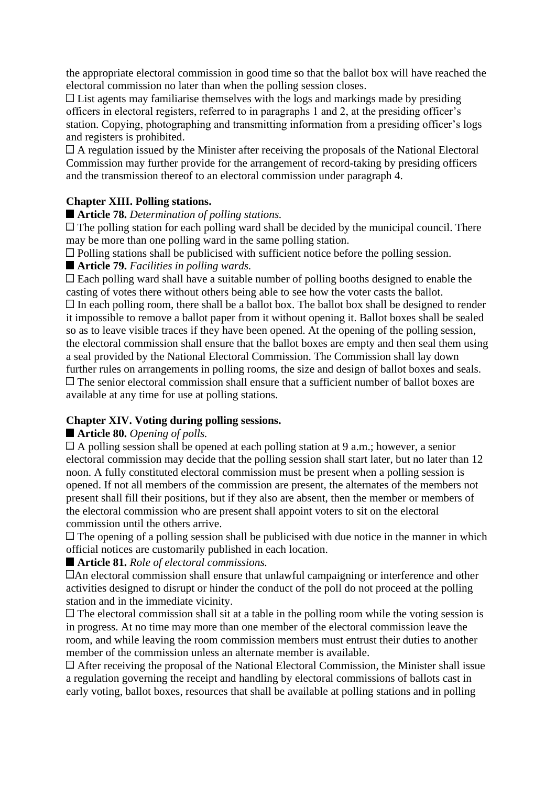the appropriate electoral commission in good time so that the ballot box will have reached the electoral commission no later than when the polling session closes.

 $\Box$  List agents may familiarise themselves with the logs and markings made by presiding officers in electoral registers, referred to in paragraphs 1 and 2, at the presiding officer's station. Copying, photographing and transmitting information from a presiding officer's logs and registers is prohibited.

A regulation issued by the Minister after receiving the proposals of the National Electoral Commission may further provide for the arrangement of record-taking by presiding officers and the transmission thereof to an electoral commission under paragraph 4.

## **Chapter XIII. Polling stations.**

#### **Article 78.** *Determination of polling stations.*

 $\Box$  The polling station for each polling ward shall be decided by the municipal council. There may be more than one polling ward in the same polling station.

Polling stations shall be publicised with sufficient notice before the polling session.

## ■ **Article 79.** *Facilities in polling wards.*

 $\Box$  Each polling ward shall have a suitable number of polling booths designed to enable the casting of votes there without others being able to see how the voter casts the ballot.  $\Box$  In each polling room, there shall be a ballot box. The ballot box shall be designed to render it impossible to remove a ballot paper from it without opening it. Ballot boxes shall be sealed so as to leave visible traces if they have been opened. At the opening of the polling session, the electoral commission shall ensure that the ballot boxes are empty and then seal them using a seal provided by the National Electoral Commission. The Commission shall lay down further rules on arrangements in polling rooms, the size and design of ballot boxes and seals.  $\Box$  The senior electoral commission shall ensure that a sufficient number of ballot boxes are available at any time for use at polling stations.

## **Chapter XIV. Voting during polling sessions.**

## **Article 80.** *Opening of polls.*

 $\Box$  A polling session shall be opened at each polling station at 9 a.m.; however, a senior electoral commission may decide that the polling session shall start later, but no later than 12 noon. A fully constituted electoral commission must be present when a polling session is opened. If not all members of the commission are present, the alternates of the members not present shall fill their positions, but if they also are absent, then the member or members of the electoral commission who are present shall appoint voters to sit on the electoral commission until the others arrive.

 $\Box$  The opening of a polling session shall be publicised with due notice in the manner in which official notices are customarily published in each location.

## ■ **Article 81.** *Role of electoral commissions.*

An electoral commission shall ensure that unlawful campaigning or interference and other activities designed to disrupt or hinder the conduct of the poll do not proceed at the polling station and in the immediate vicinity.

 $\Box$  The electoral commission shall sit at a table in the polling room while the voting session is in progress. At no time may more than one member of the electoral commission leave the room, and while leaving the room commission members must entrust their duties to another member of the commission unless an alternate member is available.

After receiving the proposal of the National Electoral Commission, the Minister shall issue a regulation governing the receipt and handling by electoral commissions of ballots cast in early voting, ballot boxes, resources that shall be available at polling stations and in polling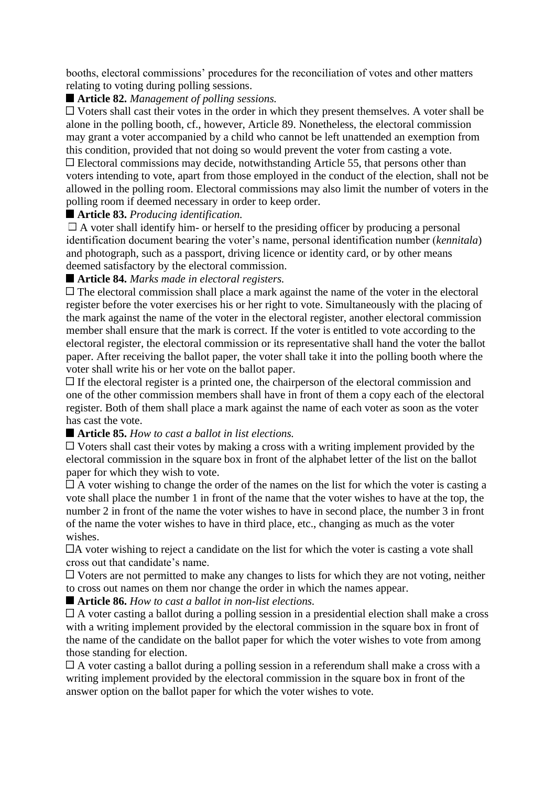booths, electoral commissions' procedures for the reconciliation of votes and other matters relating to voting during polling sessions.

## ■ **Article 82.** *Management of polling sessions.*

Voters shall cast their votes in the order in which they present themselves. A voter shall be alone in the polling booth, cf., however, Article 89. Nonetheless, the electoral commission may grant a voter accompanied by a child who cannot be left unattended an exemption from this condition, provided that not doing so would prevent the voter from casting a vote. Electoral commissions may decide, notwithstanding Article 55, that persons other than voters intending to vote, apart from those employed in the conduct of the election, shall not be allowed in the polling room. Electoral commissions may also limit the number of voters in the polling room if deemed necessary in order to keep order.

#### **Article 83.** *Producing identification.*

 $\Box$  A voter shall identify him- or herself to the presiding officer by producing a personal identification document bearing the voter's name, personal identification number (*kennitala*) and photograph, such as a passport, driving licence or identity card, or by other means deemed satisfactory by the electoral commission.

#### **Article 84.** *Marks made in electoral registers.*

 $\Box$  The electoral commission shall place a mark against the name of the voter in the electoral register before the voter exercises his or her right to vote. Simultaneously with the placing of the mark against the name of the voter in the electoral register, another electoral commission member shall ensure that the mark is correct. If the voter is entitled to vote according to the electoral register, the electoral commission or its representative shall hand the voter the ballot paper. After receiving the ballot paper, the voter shall take it into the polling booth where the voter shall write his or her vote on the ballot paper.

 $\Box$  If the electoral register is a printed one, the chairperson of the electoral commission and one of the other commission members shall have in front of them a copy each of the electoral register. Both of them shall place a mark against the name of each voter as soon as the voter has cast the vote.

#### **Article 85.** *How to cast a ballot in list elections.*

 $\Box$  Voters shall cast their votes by making a cross with a writing implement provided by the electoral commission in the square box in front of the alphabet letter of the list on the ballot paper for which they wish to vote.

 $\Box$  A voter wishing to change the order of the names on the list for which the voter is casting a vote shall place the number 1 in front of the name that the voter wishes to have at the top, the number 2 in front of the name the voter wishes to have in second place, the number 3 in front of the name the voter wishes to have in third place, etc., changing as much as the voter wishes.

 $\Box$  A voter wishing to reject a candidate on the list for which the voter is casting a vote shall cross out that candidate's name.

 $\Box$  Voters are not permitted to make any changes to lists for which they are not voting, neither to cross out names on them nor change the order in which the names appear.

**Article 86.** *How to cast a ballot in non-list elections.*

A voter casting a ballot during a polling session in a presidential election shall make a cross with a writing implement provided by the electoral commission in the square box in front of the name of the candidate on the ballot paper for which the voter wishes to vote from among those standing for election.

A voter casting a ballot during a polling session in a referendum shall make a cross with a writing implement provided by the electoral commission in the square box in front of the answer option on the ballot paper for which the voter wishes to vote.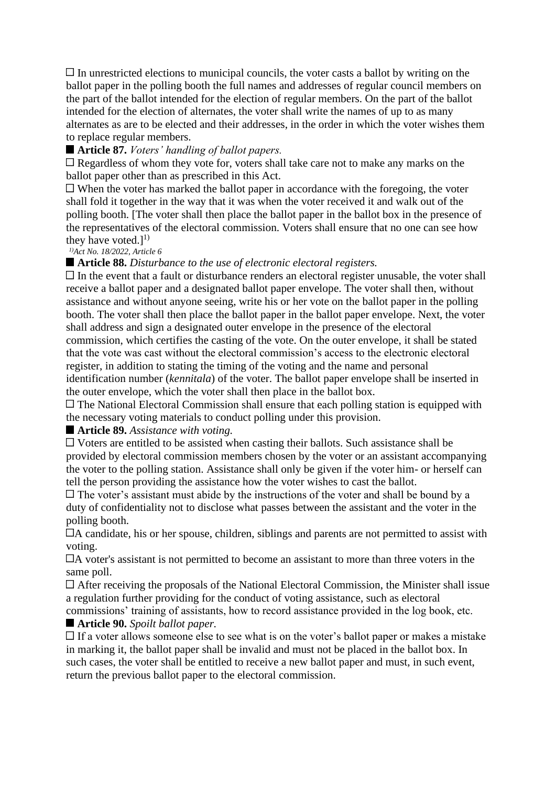$\Box$  In unrestricted elections to municipal councils, the voter casts a ballot by writing on the ballot paper in the polling booth the full names and addresses of regular council members on the part of the ballot intended for the election of regular members. On the part of the ballot intended for the election of alternates, the voter shall write the names of up to as many alternates as are to be elected and their addresses, in the order in which the voter wishes them to replace regular members.

**Article 87.** *Voters' handling of ballot papers.*

 $\Box$  Regardless of whom they vote for, voters shall take care not to make any marks on the ballot paper other than as prescribed in this Act.

 $\Box$  When the voter has marked the ballot paper in accordance with the foregoing, the voter shall fold it together in the way that it was when the voter received it and walk out of the polling booth. [The voter shall then place the ballot paper in the ballot box in the presence of the representatives of the electoral commission. Voters shall ensure that no one can see how they have voted.]<sup>1)</sup>

*1)Act No. 18/2022, Article 6*

**Article 88.** *Disturbance to the use of electronic electoral registers.*

 $\Box$  In the event that a fault or disturbance renders an electoral register unusable, the voter shall receive a ballot paper and a designated ballot paper envelope. The voter shall then, without assistance and without anyone seeing, write his or her vote on the ballot paper in the polling booth. The voter shall then place the ballot paper in the ballot paper envelope. Next, the voter shall address and sign a designated outer envelope in the presence of the electoral commission, which certifies the casting of the vote. On the outer envelope, it shall be stated that the vote was cast without the electoral commission's access to the electronic electoral register, in addition to stating the timing of the voting and the name and personal identification number (*kennitala*) of the voter. The ballot paper envelope shall be inserted in the outer envelope, which the voter shall then place in the ballot box.

 $\Box$  The National Electoral Commission shall ensure that each polling station is equipped with the necessary voting materials to conduct polling under this provision.

## ■ **Article 89.** *Assistance with voting.*

 $\Box$  Voters are entitled to be assisted when casting their ballots. Such assistance shall be provided by electoral commission members chosen by the voter or an assistant accompanying the voter to the polling station. Assistance shall only be given if the voter him- or herself can tell the person providing the assistance how the voter wishes to cast the ballot.

 $\Box$  The voter's assistant must abide by the instructions of the voter and shall be bound by a duty of confidentiality not to disclose what passes between the assistant and the voter in the polling booth.

A candidate, his or her spouse, children, siblings and parents are not permitted to assist with voting.

A voter's assistant is not permitted to become an assistant to more than three voters in the same poll.

After receiving the proposals of the National Electoral Commission, the Minister shall issue a regulation further providing for the conduct of voting assistance, such as electoral commissions' training of assistants, how to record assistance provided in the log book, etc.

# **Article 90.** *Spoilt ballot paper.*

 $\Box$  If a voter allows someone else to see what is on the voter's ballot paper or makes a mistake in marking it, the ballot paper shall be invalid and must not be placed in the ballot box. In such cases, the voter shall be entitled to receive a new ballot paper and must, in such event, return the previous ballot paper to the electoral commission.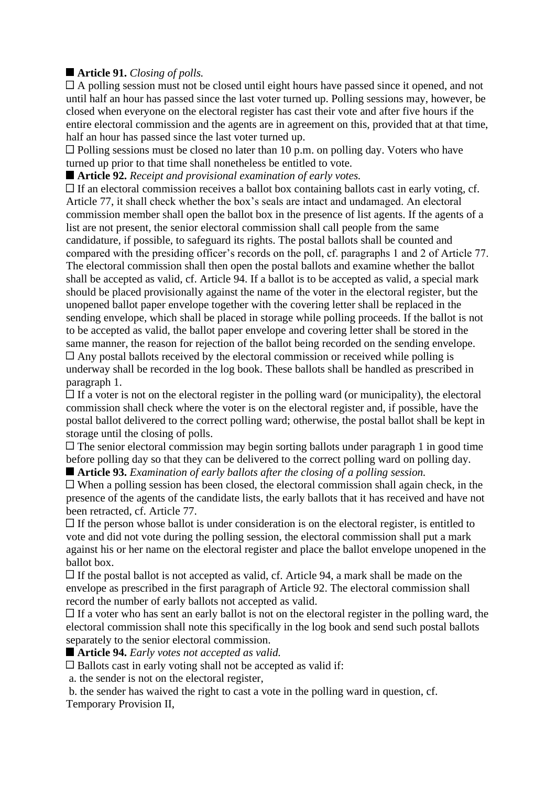# **Article 91.** *Closing of polls.*

 $\Box$  A polling session must not be closed until eight hours have passed since it opened, and not until half an hour has passed since the last voter turned up. Polling sessions may, however, be closed when everyone on the electoral register has cast their vote and after five hours if the entire electoral commission and the agents are in agreement on this, provided that at that time, half an hour has passed since the last voter turned up.

 $\Box$  Polling sessions must be closed no later than 10 p.m. on polling day. Voters who have turned up prior to that time shall nonetheless be entitled to vote.

**Article 92.** *Receipt and provisional examination of early votes.*

 $\Box$  If an electoral commission receives a ballot box containing ballots cast in early voting, cf. Article 77, it shall check whether the box's seals are intact and undamaged. An electoral commission member shall open the ballot box in the presence of list agents. If the agents of a list are not present, the senior electoral commission shall call people from the same candidature, if possible, to safeguard its rights. The postal ballots shall be counted and compared with the presiding officer's records on the poll, cf. paragraphs 1 and 2 of Article 77. The electoral commission shall then open the postal ballots and examine whether the ballot shall be accepted as valid, cf. Article 94. If a ballot is to be accepted as valid, a special mark should be placed provisionally against the name of the voter in the electoral register, but the unopened ballot paper envelope together with the covering letter shall be replaced in the sending envelope, which shall be placed in storage while polling proceeds. If the ballot is not to be accepted as valid, the ballot paper envelope and covering letter shall be stored in the same manner, the reason for rejection of the ballot being recorded on the sending envelope.  $\Box$  Any postal ballots received by the electoral commission or received while polling is underway shall be recorded in the log book. These ballots shall be handled as prescribed in paragraph 1.

 $\Box$  If a voter is not on the electoral register in the polling ward (or municipality), the electoral commission shall check where the voter is on the electoral register and, if possible, have the postal ballot delivered to the correct polling ward; otherwise, the postal ballot shall be kept in storage until the closing of polls.

 $\Box$  The senior electoral commission may begin sorting ballots under paragraph 1 in good time before polling day so that they can be delivered to the correct polling ward on polling day. **Article 93.** *Examination of early ballots after the closing of a polling session.*

 $\Box$  When a polling session has been closed, the electoral commission shall again check, in the presence of the agents of the candidate lists, the early ballots that it has received and have not been retracted, cf. Article 77.

 $\Box$  If the person whose ballot is under consideration is on the electoral register, is entitled to vote and did not vote during the polling session, the electoral commission shall put a mark against his or her name on the electoral register and place the ballot envelope unopened in the ballot box.

 $\Box$  If the postal ballot is not accepted as valid, cf. Article 94, a mark shall be made on the envelope as prescribed in the first paragraph of Article 92. The electoral commission shall record the number of early ballots not accepted as valid.

 $\Box$  If a voter who has sent an early ballot is not on the electoral register in the polling ward, the electoral commission shall note this specifically in the log book and send such postal ballots separately to the senior electoral commission.

■ **Article 94.** *Early votes not accepted as valid.* 

**Ballots cast in early voting shall not be accepted as valid if:** 

a. the sender is not on the electoral register,

b. the sender has waived the right to cast a vote in the polling ward in question, cf. Temporary Provision II,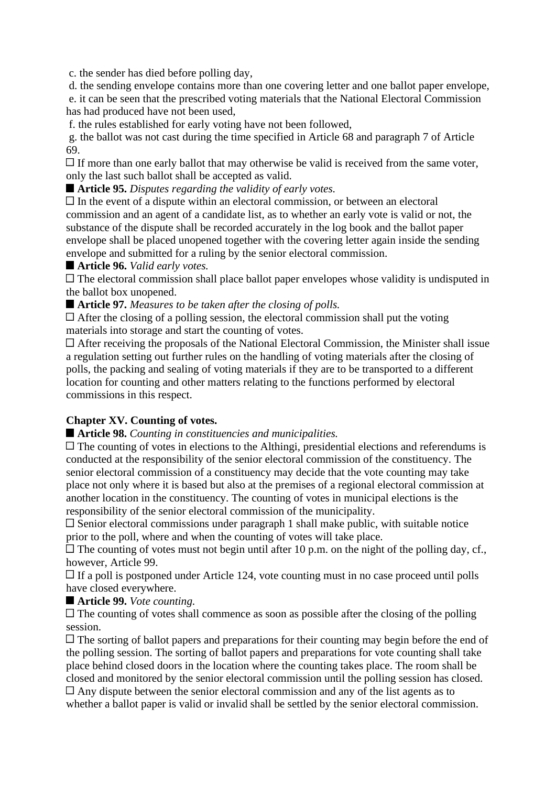c. the sender has died before polling day,

d. the sending envelope contains more than one covering letter and one ballot paper envelope,

e. it can be seen that the prescribed voting materials that the National Electoral Commission has had produced have not been used,

f. the rules established for early voting have not been followed,

g. the ballot was not cast during the time specified in Article 68 and paragraph 7 of Article 69.

 $\Box$  If more than one early ballot that may otherwise be valid is received from the same voter, only the last such ballot shall be accepted as valid.

**Article 95.** *Disputes regarding the validity of early votes.*

 $\Box$  In the event of a dispute within an electoral commission, or between an electoral commission and an agent of a candidate list, as to whether an early vote is valid or not, the substance of the dispute shall be recorded accurately in the log book and the ballot paper envelope shall be placed unopened together with the covering letter again inside the sending envelope and submitted for a ruling by the senior electoral commission.

**Article 96.** *Valid early votes.*

 $\Box$  The electoral commission shall place ballot paper envelopes whose validity is undisputed in the ballot box unopened.

**Article 97.** *Measures to be taken after the closing of polls.*

 $\Box$  After the closing of a polling session, the electoral commission shall put the voting materials into storage and start the counting of votes.

 $\Box$  After receiving the proposals of the National Electoral Commission, the Minister shall issue a regulation setting out further rules on the handling of voting materials after the closing of polls, the packing and sealing of voting materials if they are to be transported to a different location for counting and other matters relating to the functions performed by electoral commissions in this respect.

## **Chapter XV. Counting of votes.**

**Article 98.** *Counting in constituencies and municipalities.*

 $\Box$  The counting of votes in elections to the Althingi, presidential elections and referendums is conducted at the responsibility of the senior electoral commission of the constituency. The senior electoral commission of a constituency may decide that the vote counting may take place not only where it is based but also at the premises of a regional electoral commission at another location in the constituency. The counting of votes in municipal elections is the responsibility of the senior electoral commission of the municipality.

 $\Box$  Senior electoral commissions under paragraph 1 shall make public, with suitable notice prior to the poll, where and when the counting of votes will take place.

 $\Box$  The counting of votes must not begin until after 10 p.m. on the night of the polling day, cf., however, Article 99.

 $\Box$  If a poll is postponed under Article 124, vote counting must in no case proceed until polls have closed everywhere.

**Article 99.** *Vote counting.*

 $\Box$  The counting of votes shall commence as soon as possible after the closing of the polling session.

 $\Box$  The sorting of ballot papers and preparations for their counting may begin before the end of the polling session. The sorting of ballot papers and preparations for vote counting shall take place behind closed doors in the location where the counting takes place. The room shall be closed and monitored by the senior electoral commission until the polling session has closed.  $\Box$  Any dispute between the senior electoral commission and any of the list agents as to

whether a ballot paper is valid or invalid shall be settled by the senior electoral commission.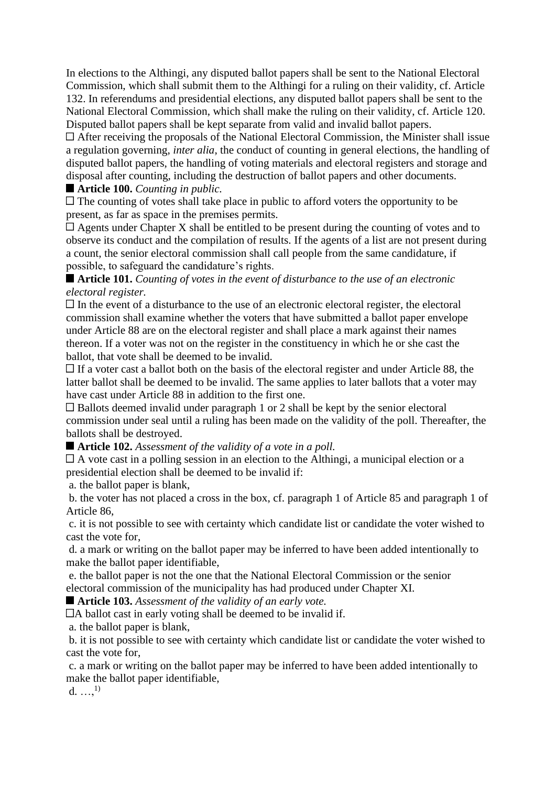In elections to the Althingi, any disputed ballot papers shall be sent to the National Electoral Commission, which shall submit them to the Althingi for a ruling on their validity, cf. Article 132. In referendums and presidential elections, any disputed ballot papers shall be sent to the National Electoral Commission, which shall make the ruling on their validity, cf. Article 120. Disputed ballot papers shall be kept separate from valid and invalid ballot papers.

After receiving the proposals of the National Electoral Commission, the Minister shall issue a regulation governing, *inter alia*, the conduct of counting in general elections, the handling of disputed ballot papers, the handling of voting materials and electoral registers and storage and disposal after counting, including the destruction of ballot papers and other documents.

#### **Article 100.** *Counting in public.*

 $\Box$  The counting of votes shall take place in public to afford voters the opportunity to be present, as far as space in the premises permits.

 $\Box$  Agents under Chapter X shall be entitled to be present during the counting of votes and to observe its conduct and the compilation of results. If the agents of a list are not present during a count, the senior electoral commission shall call people from the same candidature, if possible, to safeguard the candidature's rights.

## **Article 101.** *Counting of votes in the event of disturbance to the use of an electronic electoral register.*

 $\Box$  In the event of a disturbance to the use of an electronic electoral register, the electoral commission shall examine whether the voters that have submitted a ballot paper envelope under Article 88 are on the electoral register and shall place a mark against their names thereon. If a voter was not on the register in the constituency in which he or she cast the ballot, that vote shall be deemed to be invalid.

 $\Box$  If a voter cast a ballot both on the basis of the electoral register and under Article 88, the latter ballot shall be deemed to be invalid. The same applies to later ballots that a voter may have cast under Article 88 in addition to the first one.

 $\Box$  Ballots deemed invalid under paragraph 1 or 2 shall be kept by the senior electoral commission under seal until a ruling has been made on the validity of the poll. Thereafter, the ballots shall be destroyed.

## **Article 102.** *Assessment of the validity of a vote in a poll.*

A vote cast in a polling session in an election to the Althingi, a municipal election or a presidential election shall be deemed to be invalid if:

a. the ballot paper is blank,

b. the voter has not placed a cross in the box, cf. paragraph 1 of Article 85 and paragraph 1 of Article 86,

c. it is not possible to see with certainty which candidate list or candidate the voter wished to cast the vote for,

d. a mark or writing on the ballot paper may be inferred to have been added intentionally to make the ballot paper identifiable,

e. the ballot paper is not the one that the National Electoral Commission or the senior electoral commission of the municipality has had produced under Chapter XI.

#### **Article 103.** *Assessment of the validity of an early vote.*

A ballot cast in early voting shall be deemed to be invalid if.

a. the ballot paper is blank,

b. it is not possible to see with certainty which candidate list or candidate the voter wished to cast the vote for,

c. a mark or writing on the ballot paper may be inferred to have been added intentionally to make the ballot paper identifiable,

d.  $...,^{1)}$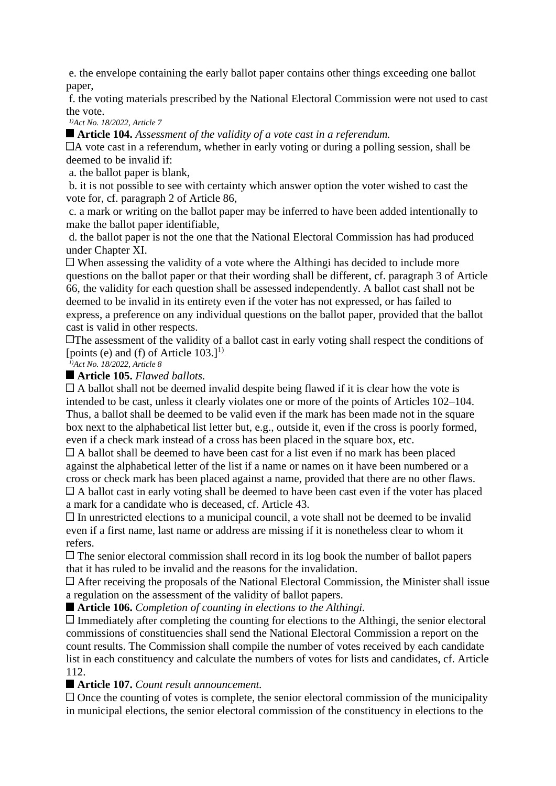e. the envelope containing the early ballot paper contains other things exceeding one ballot paper,

f. the voting materials prescribed by the National Electoral Commission were not used to cast the vote.

*1)Act No. 18/2022, Article 7*

**Article 104.** *Assessment of the validity of a vote cast in a referendum.*

A vote cast in a referendum, whether in early voting or during a polling session, shall be deemed to be invalid if:

a. the ballot paper is blank,

b. it is not possible to see with certainty which answer option the voter wished to cast the vote for, cf. paragraph 2 of Article 86,

c. a mark or writing on the ballot paper may be inferred to have been added intentionally to make the ballot paper identifiable,

d. the ballot paper is not the one that the National Electoral Commission has had produced under Chapter XI.

 $\Box$  When assessing the validity of a vote where the Althingi has decided to include more questions on the ballot paper or that their wording shall be different, cf. paragraph 3 of Article 66, the validity for each question shall be assessed independently. A ballot cast shall not be deemed to be invalid in its entirety even if the voter has not expressed, or has failed to express, a preference on any individual questions on the ballot paper, provided that the ballot cast is valid in other respects.

**The assessment of the validity of a ballot cast in early voting shall respect the conditions of** [points (e) and (f) of Article  $103.1^{1}$ ]

*1)Act No. 18/2022, Article 8*

#### **Article 105.** *Flawed ballots.*

 $\Box$  A ballot shall not be deemed invalid despite being flawed if it is clear how the vote is intended to be cast, unless it clearly violates one or more of the points of Articles 102–104. Thus, a ballot shall be deemed to be valid even if the mark has been made not in the square box next to the alphabetical list letter but, e.g., outside it, even if the cross is poorly formed, even if a check mark instead of a cross has been placed in the square box, etc.

 $\Box$  A ballot shall be deemed to have been cast for a list even if no mark has been placed against the alphabetical letter of the list if a name or names on it have been numbered or a cross or check mark has been placed against a name, provided that there are no other flaws.  $\Box$  A ballot cast in early voting shall be deemed to have been cast even if the voter has placed

a mark for a candidate who is deceased, cf. Article 43.

 $\Box$  In unrestricted elections to a municipal council, a vote shall not be deemed to be invalid even if a first name, last name or address are missing if it is nonetheless clear to whom it refers.

 $\Box$  The senior electoral commission shall record in its log book the number of ballot papers that it has ruled to be invalid and the reasons for the invalidation.

 $\Box$  After receiving the proposals of the National Electoral Commission, the Minister shall issue a regulation on the assessment of the validity of ballot papers.

**Article 106.** *Completion of counting in elections to the Althingi.*

 $\Box$  Immediately after completing the counting for elections to the Althingi, the senior electoral commissions of constituencies shall send the National Electoral Commission a report on the count results. The Commission shall compile the number of votes received by each candidate list in each constituency and calculate the numbers of votes for lists and candidates, cf. Article 112.

## **Article 107.** *Count result announcement.*

 $\Box$  Once the counting of votes is complete, the senior electoral commission of the municipality in municipal elections, the senior electoral commission of the constituency in elections to the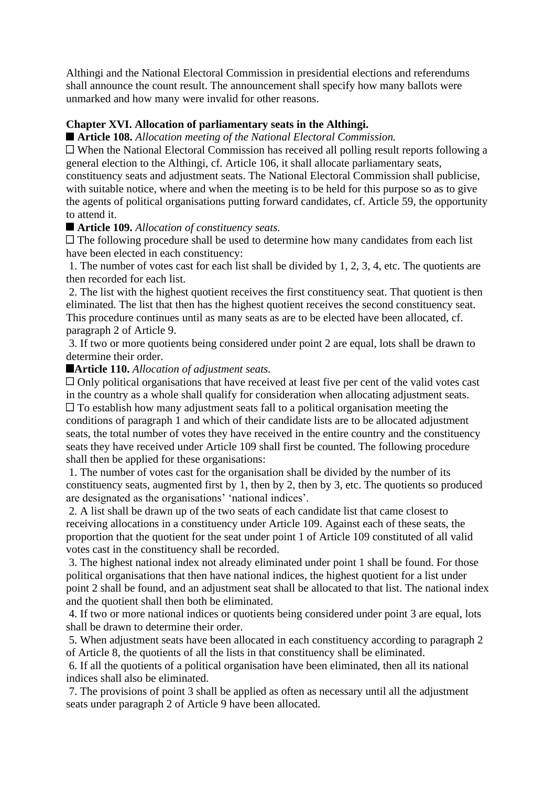Althingi and the National Electoral Commission in presidential elections and referendums shall announce the count result. The announcement shall specify how many ballots were unmarked and how many were invalid for other reasons.

#### **Chapter XVI. Allocation of parliamentary seats in the Althingi.**

**Article 108.** *Allocation meeting of the National Electoral Commission.*

When the National Electoral Commission has received all polling result reports following a general election to the Althingi, cf. Article 106, it shall allocate parliamentary seats, constituency seats and adjustment seats. The National Electoral Commission shall publicise, with suitable notice, where and when the meeting is to be held for this purpose so as to give the agents of political organisations putting forward candidates, cf. Article 59, the opportunity to attend it.

#### **Article 109.** *Allocation of constituency seats.*

 $\Box$  The following procedure shall be used to determine how many candidates from each list have been elected in each constituency:

1. The number of votes cast for each list shall be divided by 1, 2, 3, 4, etc. The quotients are then recorded for each list.

2. The list with the highest quotient receives the first constituency seat. That quotient is then eliminated. The list that then has the highest quotient receives the second constituency seat. This procedure continues until as many seats as are to be elected have been allocated, cf. paragraph 2 of Article 9.

3. If two or more quotients being considered under point 2 are equal, lots shall be drawn to determine their order.

#### **Article 110.** *Allocation of adjustment seats.*

□ Only political organisations that have received at least five per cent of the valid votes cast in the country as a whole shall qualify for consideration when allocating adjustment seats.  $\Box$  To establish how many adjustment seats fall to a political organisation meeting the conditions of paragraph 1 and which of their candidate lists are to be allocated adjustment seats, the total number of votes they have received in the entire country and the constituency seats they have received under Article 109 shall first be counted. The following procedure shall then be applied for these organisations:

1. The number of votes cast for the organisation shall be divided by the number of its constituency seats, augmented first by 1, then by 2, then by 3, etc. The quotients so produced are designated as the organisations' 'national indices'.

2. A list shall be drawn up of the two seats of each candidate list that came closest to receiving allocations in a constituency under Article 109. Against each of these seats, the proportion that the quotient for the seat under point 1 of Article 109 constituted of all valid votes cast in the constituency shall be recorded.

3. The highest national index not already eliminated under point 1 shall be found. For those political organisations that then have national indices, the highest quotient for a list under point 2 shall be found, and an adjustment seat shall be allocated to that list. The national index and the quotient shall then both be eliminated.

4. If two or more national indices or quotients being considered under point 3 are equal, lots shall be drawn to determine their order.

5. When adjustment seats have been allocated in each constituency according to paragraph 2 of Article 8, the quotients of all the lists in that constituency shall be eliminated.

6. If all the quotients of a political organisation have been eliminated, then all its national indices shall also be eliminated.

7. The provisions of point 3 shall be applied as often as necessary until all the adjustment seats under paragraph 2 of Article 9 have been allocated.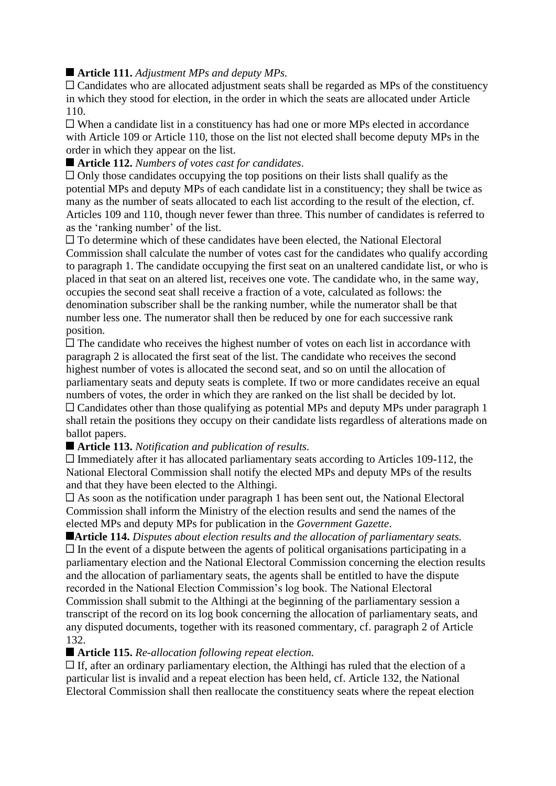# ■ **Article 111.** *Adjustment MPs and deputy MPs.*

 $\Box$  Candidates who are allocated adjustment seats shall be regarded as MPs of the constituency in which they stood for election, in the order in which the seats are allocated under Article 110.

When a candidate list in a constituency has had one or more MPs elected in accordance with Article 109 or Article 110, those on the list not elected shall become deputy MPs in the order in which they appear on the list.

## **Article 112.** *Numbers of votes cast for candidates.*

 $\Box$  Only those candidates occupying the top positions on their lists shall qualify as the potential MPs and deputy MPs of each candidate list in a constituency; they shall be twice as many as the number of seats allocated to each list according to the result of the election, cf. Articles 109 and 110, though never fewer than three. This number of candidates is referred to as the 'ranking number' of the list.

To determine which of these candidates have been elected, the National Electoral Commission shall calculate the number of votes cast for the candidates who qualify according to paragraph 1. The candidate occupying the first seat on an unaltered candidate list, or who is placed in that seat on an altered list, receives one vote. The candidate who, in the same way, occupies the second seat shall receive a fraction of a vote, calculated as follows: the denomination subscriber shall be the ranking number, while the numerator shall be that number less one. The numerator shall then be reduced by one for each successive rank position.

 $\Box$  The candidate who receives the highest number of votes on each list in accordance with paragraph 2 is allocated the first seat of the list. The candidate who receives the second highest number of votes is allocated the second seat, and so on until the allocation of parliamentary seats and deputy seats is complete. If two or more candidates receive an equal numbers of votes, the order in which they are ranked on the list shall be decided by lot. Candidates other than those qualifying as potential MPs and deputy MPs under paragraph 1 shall retain the positions they occupy on their candidate lists regardless of alterations made on ballot papers.

## **Article 113.** *Notification and publication of results.*

 $\Box$  Immediately after it has allocated parliamentary seats according to Articles 109-112, the National Electoral Commission shall notify the elected MPs and deputy MPs of the results and that they have been elected to the Althingi.

As soon as the notification under paragraph 1 has been sent out, the National Electoral Commission shall inform the Ministry of the election results and send the names of the elected MPs and deputy MPs for publication in the *Government Gazette*.

**Article 114.** *Disputes about election results and the allocation of parliamentary seats.*  $\Box$  In the event of a dispute between the agents of political organisations participating in a parliamentary election and the National Electoral Commission concerning the election results and the allocation of parliamentary seats, the agents shall be entitled to have the dispute recorded in the National Election Commission's log book. The National Electoral Commission shall submit to the Althingi at the beginning of the parliamentary session a transcript of the record on its log book concerning the allocation of parliamentary seats, and any disputed documents, together with its reasoned commentary, cf. paragraph 2 of Article 132.

## **Article 115.** *Re-allocation following repeat election.*

 $\Box$  If, after an ordinary parliamentary election, the Althingi has ruled that the election of a particular list is invalid and a repeat election has been held, cf. Article 132, the National Electoral Commission shall then reallocate the constituency seats where the repeat election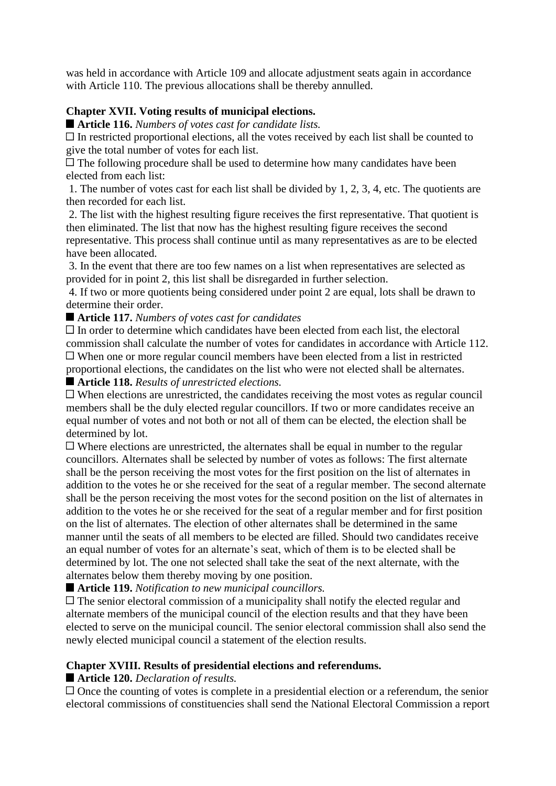was held in accordance with Article 109 and allocate adjustment seats again in accordance with Article 110. The previous allocations shall be thereby annulled.

## **Chapter XVII. Voting results of municipal elections.**

**Article 116.** *Numbers of votes cast for candidate lists.*

 $\Box$  In restricted proportional elections, all the votes received by each list shall be counted to give the total number of votes for each list.

 $\Box$  The following procedure shall be used to determine how many candidates have been elected from each list:

1. The number of votes cast for each list shall be divided by 1, 2, 3, 4, etc. The quotients are then recorded for each list.

2. The list with the highest resulting figure receives the first representative. That quotient is then eliminated. The list that now has the highest resulting figure receives the second representative. This process shall continue until as many representatives as are to be elected have been allocated.

3. In the event that there are too few names on a list when representatives are selected as provided for in point 2, this list shall be disregarded in further selection.

4. If two or more quotients being considered under point 2 are equal, lots shall be drawn to determine their order.

#### **Article 117.** *Numbers of votes cast for candidates*

 $\Box$  In order to determine which candidates have been elected from each list, the electoral commission shall calculate the number of votes for candidates in accordance with Article 112. When one or more regular council members have been elected from a list in restricted proportional elections, the candidates on the list who were not elected shall be alternates.

#### **Article 118.** *Results of unrestricted elections.*

When elections are unrestricted, the candidates receiving the most votes as regular council members shall be the duly elected regular councillors. If two or more candidates receive an equal number of votes and not both or not all of them can be elected, the election shall be determined by lot.

 $\Box$  Where elections are unrestricted, the alternates shall be equal in number to the regular councillors. Alternates shall be selected by number of votes as follows: The first alternate shall be the person receiving the most votes for the first position on the list of alternates in addition to the votes he or she received for the seat of a regular member. The second alternate shall be the person receiving the most votes for the second position on the list of alternates in addition to the votes he or she received for the seat of a regular member and for first position on the list of alternates. The election of other alternates shall be determined in the same manner until the seats of all members to be elected are filled. Should two candidates receive an equal number of votes for an alternate's seat, which of them is to be elected shall be determined by lot. The one not selected shall take the seat of the next alternate, with the alternates below them thereby moving by one position.

**Article 119.** *Notification to new municipal councillors.*

 $\Box$  The senior electoral commission of a municipality shall notify the elected regular and alternate members of the municipal council of the election results and that they have been elected to serve on the municipal council. The senior electoral commission shall also send the newly elected municipal council a statement of the election results.

## **Chapter XVIII. Results of presidential elections and referendums.**

## **Article 120.** *Declaration of results.*

 $\Box$  Once the counting of votes is complete in a presidential election or a referendum, the senior electoral commissions of constituencies shall send the National Electoral Commission a report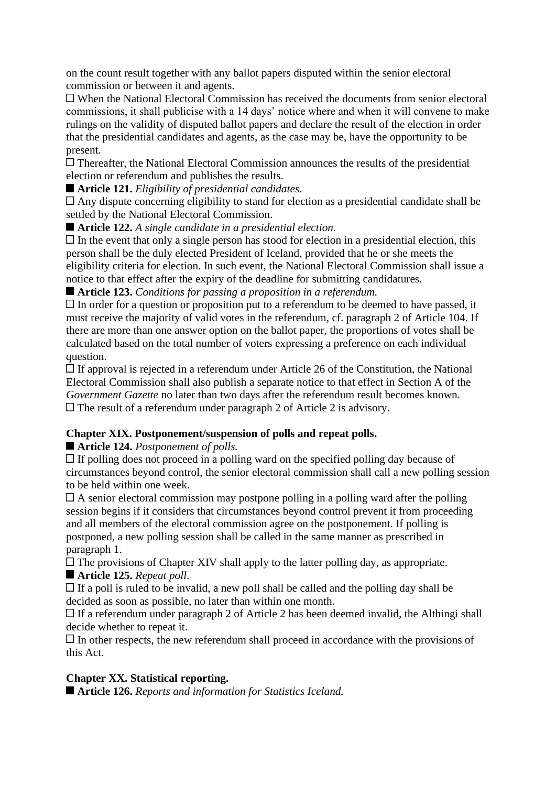on the count result together with any ballot papers disputed within the senior electoral commission or between it and agents.

When the National Electoral Commission has received the documents from senior electoral commissions, it shall publicise with a 14 days' notice where and when it will convene to make rulings on the validity of disputed ballot papers and declare the result of the election in order that the presidential candidates and agents, as the case may be, have the opportunity to be present.

Thereafter, the National Electoral Commission announces the results of the presidential election or referendum and publishes the results.

## **Article 121.** *Eligibility of presidential candidates.*

Any dispute concerning eligibility to stand for election as a presidential candidate shall be settled by the National Electoral Commission.

**Article 122.** *A single candidate in a presidential election.*

 $\Box$  In the event that only a single person has stood for election in a presidential election, this person shall be the duly elected President of Iceland, provided that he or she meets the eligibility criteria for election. In such event, the National Electoral Commission shall issue a notice to that effect after the expiry of the deadline for submitting candidatures.

## **Article 123.** *Conditions for passing a proposition in a referendum.*

 $\Box$  In order for a question or proposition put to a referendum to be deemed to have passed, it must receive the majority of valid votes in the referendum, cf. paragraph 2 of Article 104. If there are more than one answer option on the ballot paper, the proportions of votes shall be calculated based on the total number of voters expressing a preference on each individual question.

 $\Box$  If approval is rejected in a referendum under Article 26 of the Constitution, the National Electoral Commission shall also publish a separate notice to that effect in Section A of the *Government Gazette* no later than two days after the referendum result becomes known.  $\Box$  The result of a referendum under paragraph 2 of Article 2 is advisory.

## **Chapter XIX. Postponement/suspension of polls and repeat polls.**

# **Article 124.** *Postponement of polls.*

 $\Box$  If polling does not proceed in a polling ward on the specified polling day because of circumstances beyond control, the senior electoral commission shall call a new polling session to be held within one week.

 $\Box$  A senior electoral commission may postpone polling in a polling ward after the polling session begins if it considers that circumstances beyond control prevent it from proceeding and all members of the electoral commission agree on the postponement. If polling is postponed, a new polling session shall be called in the same manner as prescribed in paragraph 1.

 $\Box$  The provisions of Chapter XIV shall apply to the latter polling day, as appropriate.

## **Article 125.** *Repeat poll.*

 $\Box$  If a poll is ruled to be invalid, a new poll shall be called and the polling day shall be decided as soon as possible, no later than within one month.

 $\Box$  If a referendum under paragraph 2 of Article 2 has been deemed invalid, the Althingi shall decide whether to repeat it.

 $\Box$  In other respects, the new referendum shall proceed in accordance with the provisions of this Act.

# **Chapter XX. Statistical reporting.**

**Article 126.** *Reports and information for Statistics Iceland.*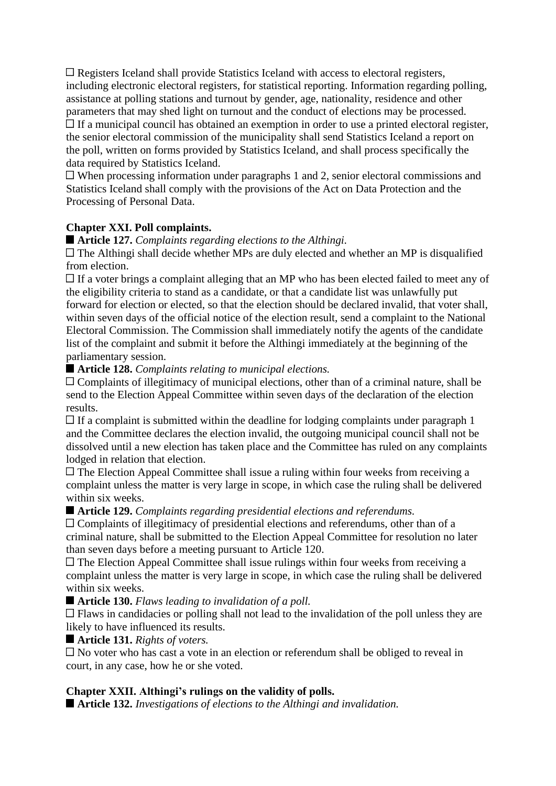Registers Iceland shall provide Statistics Iceland with access to electoral registers, including electronic electoral registers, for statistical reporting. Information regarding polling, assistance at polling stations and turnout by gender, age, nationality, residence and other parameters that may shed light on turnout and the conduct of elections may be processed. If a municipal council has obtained an exemption in order to use a printed electoral register, the senior electoral commission of the municipality shall send Statistics Iceland a report on the poll, written on forms provided by Statistics Iceland, and shall process specifically the data required by Statistics Iceland.

When processing information under paragraphs 1 and 2, senior electoral commissions and Statistics Iceland shall comply with the provisions of the Act on Data Protection and the Processing of Personal Data.

## **Chapter XXI. Poll complaints.**

**Article 127.** *Complaints regarding elections to the Althingi.*

 $\Box$  The Althingi shall decide whether MPs are duly elected and whether an MP is disqualified from election.

 $\Box$  If a voter brings a complaint alleging that an MP who has been elected failed to meet any of the eligibility criteria to stand as a candidate, or that a candidate list was unlawfully put forward for election or elected, so that the election should be declared invalid, that voter shall, within seven days of the official notice of the election result, send a complaint to the National Electoral Commission. The Commission shall immediately notify the agents of the candidate list of the complaint and submit it before the Althingi immediately at the beginning of the parliamentary session.

#### **Article 128.** *Complaints relating to municipal elections.*

Complaints of illegitimacy of municipal elections, other than of a criminal nature, shall be send to the Election Appeal Committee within seven days of the declaration of the election results.

 $\Box$  If a complaint is submitted within the deadline for lodging complaints under paragraph 1 and the Committee declares the election invalid, the outgoing municipal council shall not be dissolved until a new election has taken place and the Committee has ruled on any complaints lodged in relation that election.

The Election Appeal Committee shall issue a ruling within four weeks from receiving a complaint unless the matter is very large in scope, in which case the ruling shall be delivered within six weeks.

**Article 129.** *Complaints regarding presidential elections and referendums.*

Complaints of illegitimacy of presidential elections and referendums, other than of a criminal nature, shall be submitted to the Election Appeal Committee for resolution no later than seven days before a meeting pursuant to Article 120.

 $\Box$  The Election Appeal Committee shall issue rulings within four weeks from receiving a complaint unless the matter is very large in scope, in which case the ruling shall be delivered within six weeks.

**Article 130.** *Flaws leading to invalidation of a poll.*

 $\Box$  Flaws in candidacies or polling shall not lead to the invalidation of the poll unless they are likely to have influenced its results.

#### **Article 131.** *Rights of voters.*

 $\Box$  No voter who has cast a vote in an election or referendum shall be obliged to reveal in court, in any case, how he or she voted.

#### **Chapter XXII. Althingi's rulings on the validity of polls.**

**Article 132.** *Investigations of elections to the Althingi and invalidation.*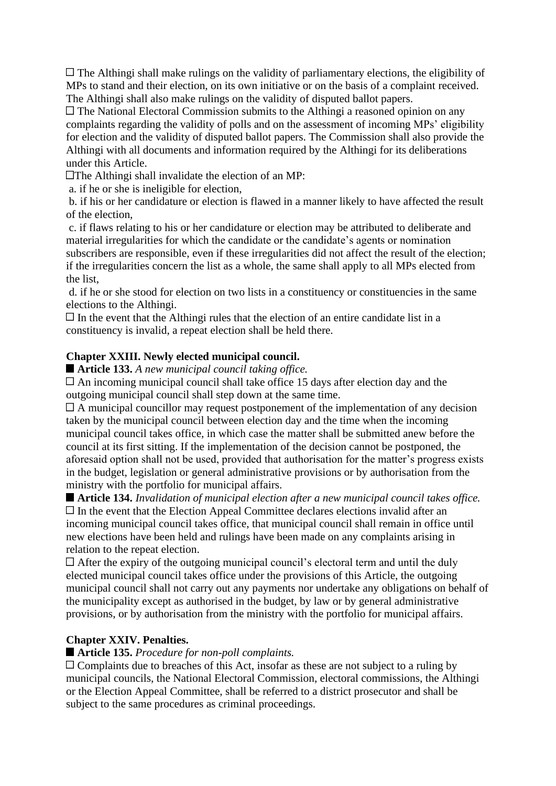$\Box$  The Althingi shall make rulings on the validity of parliamentary elections, the eligibility of MPs to stand and their election, on its own initiative or on the basis of a complaint received. The Althingi shall also make rulings on the validity of disputed ballot papers.

The National Electoral Commission submits to the Althingi a reasoned opinion on any complaints regarding the validity of polls and on the assessment of incoming MPs' eligibility for election and the validity of disputed ballot papers. The Commission shall also provide the Althingi with all documents and information required by the Althingi for its deliberations under this Article.

 $\Box$ The Althingi shall invalidate the election of an MP:

a. if he or she is ineligible for election,

b. if his or her candidature or election is flawed in a manner likely to have affected the result of the election,

c. if flaws relating to his or her candidature or election may be attributed to deliberate and material irregularities for which the candidate or the candidate's agents or nomination subscribers are responsible, even if these irregularities did not affect the result of the election; if the irregularities concern the list as a whole, the same shall apply to all MPs elected from the list,

d. if he or she stood for election on two lists in a constituency or constituencies in the same elections to the Althingi.

 $\Box$  In the event that the Althingi rules that the election of an entire candidate list in a constituency is invalid, a repeat election shall be held there.

## **Chapter XXIII. Newly elected municipal council.**

**Article 133.** *A new municipal council taking office.*

An incoming municipal council shall take office 15 days after election day and the outgoing municipal council shall step down at the same time.

 $\Box$  A municipal councillor may request postponement of the implementation of any decision taken by the municipal council between election day and the time when the incoming municipal council takes office, in which case the matter shall be submitted anew before the council at its first sitting. If the implementation of the decision cannot be postponed, the aforesaid option shall not be used, provided that authorisation for the matter's progress exists in the budget, legislation or general administrative provisions or by authorisation from the ministry with the portfolio for municipal affairs.

**Article 134.** *Invalidation of municipal election after a new municipal council takes office.*  $\Box$  In the event that the Election Appeal Committee declares elections invalid after an incoming municipal council takes office, that municipal council shall remain in office until new elections have been held and rulings have been made on any complaints arising in relation to the repeat election.

 $\Box$  After the expiry of the outgoing municipal council's electoral term and until the duly elected municipal council takes office under the provisions of this Article, the outgoing municipal council shall not carry out any payments nor undertake any obligations on behalf of the municipality except as authorised in the budget, by law or by general administrative provisions, or by authorisation from the ministry with the portfolio for municipal affairs.

## **Chapter XXIV. Penalties.**

## **Article 135.** *Procedure for non-poll complaints.*

 $\Box$  Complaints due to breaches of this Act, insofar as these are not subject to a ruling by municipal councils, the National Electoral Commission, electoral commissions, the Althingi or the Election Appeal Committee, shall be referred to a district prosecutor and shall be subject to the same procedures as criminal proceedings.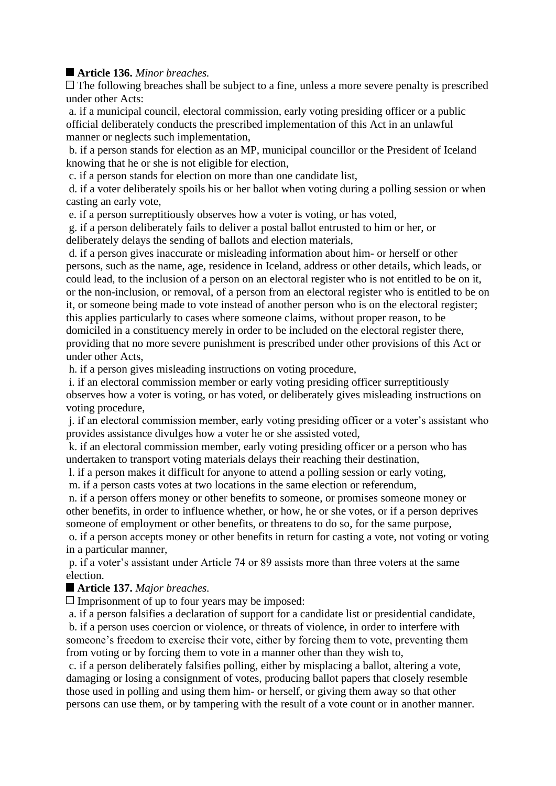# **Article 136.** *Minor breaches.*

 $\Box$  The following breaches shall be subject to a fine, unless a more severe penalty is prescribed under other Acts:

a. if a municipal council, electoral commission, early voting presiding officer or a public official deliberately conducts the prescribed implementation of this Act in an unlawful manner or neglects such implementation,

b. if a person stands for election as an MP, municipal councillor or the President of Iceland knowing that he or she is not eligible for election,

c. if a person stands for election on more than one candidate list,

d. if a voter deliberately spoils his or her ballot when voting during a polling session or when casting an early vote,

e. if a person surreptitiously observes how a voter is voting, or has voted,

g. if a person deliberately fails to deliver a postal ballot entrusted to him or her, or deliberately delays the sending of ballots and election materials,

d. if a person gives inaccurate or misleading information about him- or herself or other persons, such as the name, age, residence in Iceland, address or other details, which leads, or could lead, to the inclusion of a person on an electoral register who is not entitled to be on it, or the non-inclusion, or removal, of a person from an electoral register who is entitled to be on it, or someone being made to vote instead of another person who is on the electoral register; this applies particularly to cases where someone claims, without proper reason, to be domiciled in a constituency merely in order to be included on the electoral register there, providing that no more severe punishment is prescribed under other provisions of this Act or under other Acts,

h. if a person gives misleading instructions on voting procedure,

i. if an electoral commission member or early voting presiding officer surreptitiously observes how a voter is voting, or has voted, or deliberately gives misleading instructions on voting procedure,

j. if an electoral commission member, early voting presiding officer or a voter's assistant who provides assistance divulges how a voter he or she assisted voted,

k. if an electoral commission member, early voting presiding officer or a person who has undertaken to transport voting materials delays their reaching their destination,

l. if a person makes it difficult for anyone to attend a polling session or early voting, m. if a person casts votes at two locations in the same election or referendum,

n. if a person offers money or other benefits to someone, or promises someone money or other benefits, in order to influence whether, or how, he or she votes, or if a person deprives someone of employment or other benefits, or threatens to do so, for the same purpose,

o. if a person accepts money or other benefits in return for casting a vote, not voting or voting in a particular manner,

p. if a voter's assistant under Article 74 or 89 assists more than three voters at the same election.

## **Article 137.** *Major breaches.*

 $\Box$  Imprisonment of up to four years may be imposed:

a. if a person falsifies a declaration of support for a candidate list or presidential candidate, b. if a person uses coercion or violence, or threats of violence, in order to interfere with someone's freedom to exercise their vote, either by forcing them to vote, preventing them from voting or by forcing them to vote in a manner other than they wish to,

c. if a person deliberately falsifies polling, either by misplacing a ballot, altering a vote, damaging or losing a consignment of votes, producing ballot papers that closely resemble those used in polling and using them him- or herself, or giving them away so that other persons can use them, or by tampering with the result of a vote count or in another manner.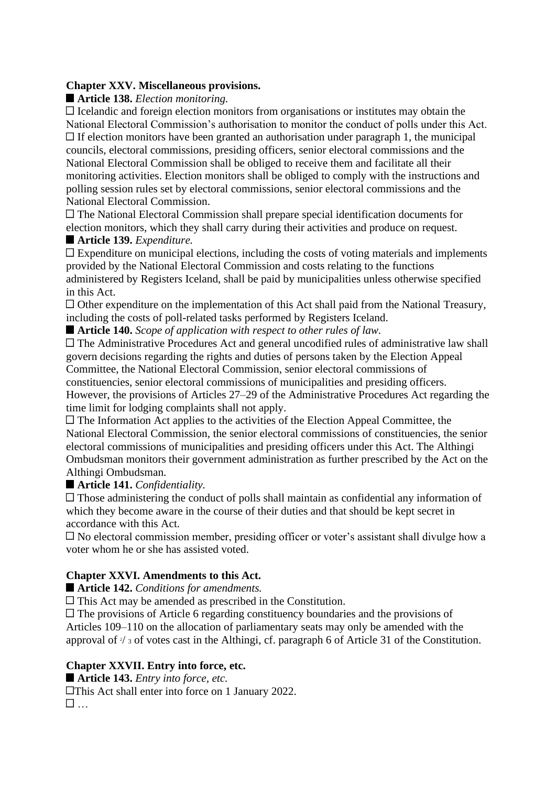#### **Chapter XXV. Miscellaneous provisions.**

**Article 138.** *Election monitoring.*

 $\Box$  Icelandic and foreign election monitors from organisations or institutes may obtain the National Electoral Commission's authorisation to monitor the conduct of polls under this Act.  $\Box$  If election monitors have been granted an authorisation under paragraph 1, the municipal councils, electoral commissions, presiding officers, senior electoral commissions and the National Electoral Commission shall be obliged to receive them and facilitate all their monitoring activities. Election monitors shall be obliged to comply with the instructions and polling session rules set by electoral commissions, senior electoral commissions and the National Electoral Commission.

The National Electoral Commission shall prepare special identification documents for election monitors, which they shall carry during their activities and produce on request.

# **Article 139.** *Expenditure.*

Expenditure on municipal elections, including the costs of voting materials and implements provided by the National Electoral Commission and costs relating to the functions administered by Registers Iceland, shall be paid by municipalities unless otherwise specified in this Act.

Other expenditure on the implementation of this Act shall paid from the National Treasury, including the costs of poll-related tasks performed by Registers Iceland.

**Article 140.** *Scope of application with respect to other rules of law.*

The Administrative Procedures Act and general uncodified rules of administrative law shall govern decisions regarding the rights and duties of persons taken by the Election Appeal Committee, the National Electoral Commission, senior electoral commissions of

constituencies, senior electoral commissions of municipalities and presiding officers. However, the provisions of Articles 27–29 of the Administrative Procedures Act regarding the time limit for lodging complaints shall not apply.

 $\Box$  The Information Act applies to the activities of the Election Appeal Committee, the National Electoral Commission, the senior electoral commissions of constituencies, the senior electoral commissions of municipalities and presiding officers under this Act. The Althingi Ombudsman monitors their government administration as further prescribed by the Act on the Althingi Ombudsman.

**Article 141.** *Confidentiality.*

 $\Box$  Those administering the conduct of polls shall maintain as confidential any information of which they become aware in the course of their duties and that should be kept secret in accordance with this Act.

No electoral commission member, presiding officer or voter's assistant shall divulge how a voter whom he or she has assisted voted.

## **Chapter XXVI. Amendments to this Act.**

■ Article 142. *Conditions for amendments.* 

This Act may be amended as prescribed in the Constitution.

 $\Box$  The provisions of Article 6 regarding constituency boundaries and the provisions of Articles 109–110 on the allocation of parliamentary seats may only be amended with the approval of  $\frac{3}{4}$  s of votes cast in the Althingi, cf. paragraph 6 of Article 31 of the Constitution.

## **Chapter XXVII. Entry into force, etc.**

**Article 143.** *Entry into force, etc.*

**This Act shall enter into force on 1 January 2022.** …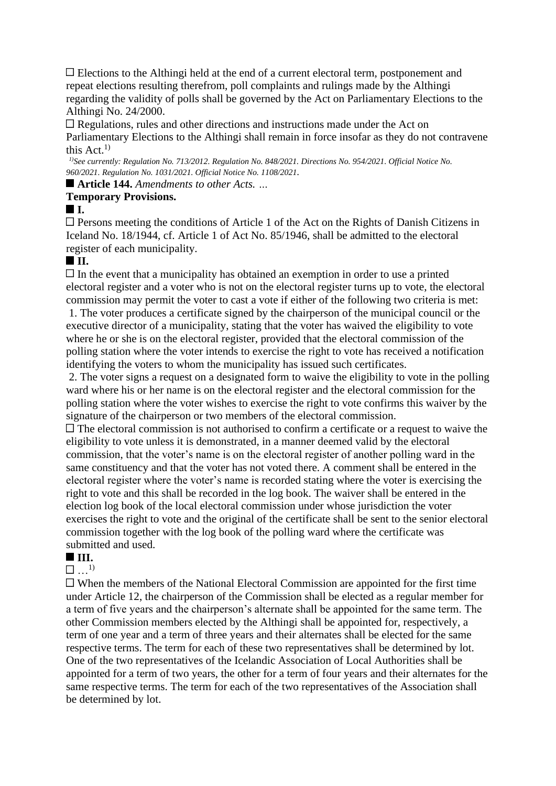Elections to the Althingi held at the end of a current electoral term, postponement and repeat elections resulting therefrom, poll complaints and rulings made by the Althingi regarding the validity of polls shall be governed by the Act on Parliamentary Elections to the Althingi No. 24/2000.

Regulations, rules and other directions and instructions made under the Act on Parliamentary Elections to the Althingi shall remain in force insofar as they do not contravene this Act $^{1)}$ 

*1)See currently: Regulation No. 713/2012. Regulation No. 848/2021. Directions No. 954/2021. Official Notice No. 960/2021. Regulation No. 1031/2021. Official Notice No. 1108/2021.*

■ **Article 144.** *Amendments to other Acts.* ...

#### **Temporary Provisions.**

#### **I.**

 $\Box$  Persons meeting the conditions of Article 1 of the Act on the Rights of Danish Citizens in Iceland No. 18/1944, cf. Article 1 of Act No. 85/1946, shall be admitted to the electoral register of each municipality.

# **II.**

 $\Box$  In the event that a municipality has obtained an exemption in order to use a printed electoral register and a voter who is not on the electoral register turns up to vote, the electoral commission may permit the voter to cast a vote if either of the following two criteria is met:

1. The voter produces a certificate signed by the chairperson of the municipal council or the executive director of a municipality, stating that the voter has waived the eligibility to vote where he or she is on the electoral register, provided that the electoral commission of the polling station where the voter intends to exercise the right to vote has received a notification identifying the voters to whom the municipality has issued such certificates.

2. The voter signs a request on a designated form to waive the eligibility to vote in the polling ward where his or her name is on the electoral register and the electoral commission for the polling station where the voter wishes to exercise the right to vote confirms this waiver by the signature of the chairperson or two members of the electoral commission.

 $\Box$  The electoral commission is not authorised to confirm a certificate or a request to waive the eligibility to vote unless it is demonstrated, in a manner deemed valid by the electoral commission, that the voter's name is on the electoral register of another polling ward in the same constituency and that the voter has not voted there. A comment shall be entered in the electoral register where the voter's name is recorded stating where the voter is exercising the right to vote and this shall be recorded in the log book. The waiver shall be entered in the election log book of the local electoral commission under whose jurisdiction the voter exercises the right to vote and the original of the certificate shall be sent to the senior electoral commission together with the log book of the polling ward where the certificate was submitted and used.

# **III.**

 $\Box$  1)

 $\Box$  When the members of the National Electoral Commission are appointed for the first time under Article 12, the chairperson of the Commission shall be elected as a regular member for a term of five years and the chairperson's alternate shall be appointed for the same term. The other Commission members elected by the Althingi shall be appointed for, respectively, a term of one year and a term of three years and their alternates shall be elected for the same respective terms. The term for each of these two representatives shall be determined by lot. One of the two representatives of the Icelandic Association of Local Authorities shall be appointed for a term of two years, the other for a term of four years and their alternates for the same respective terms. The term for each of the two representatives of the Association shall be determined by lot.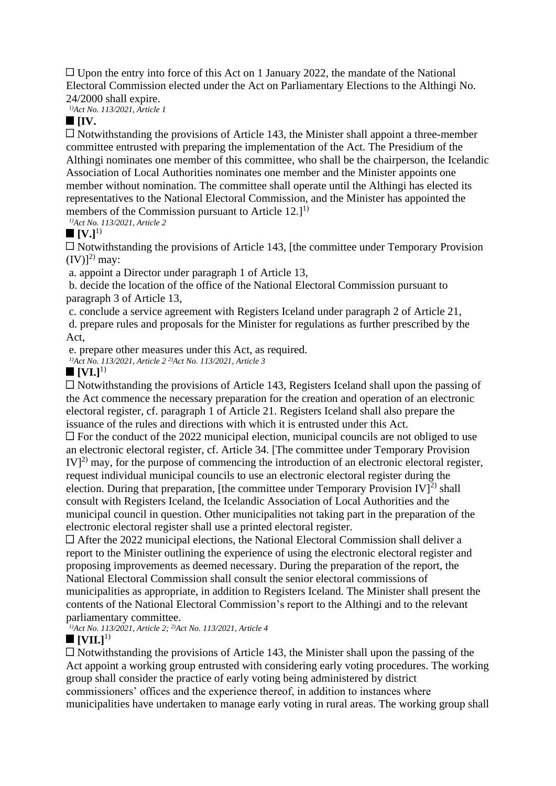$\Box$  Upon the entry into force of this Act on 1 January 2022, the mandate of the National Electoral Commission elected under the Act on Parliamentary Elections to the Althingi No. 24/2000 shall expire.

*1)Act No. 113/2021, Article 1*

## **[IV.**

 $\Box$  Notwithstanding the provisions of Article 143, the Minister shall appoint a three-member committee entrusted with preparing the implementation of the Act. The Presidium of the Althingi nominates one member of this committee, who shall be the chairperson, the Icelandic Association of Local Authorities nominates one member and the Minister appoints one member without nomination. The committee shall operate until the Althingi has elected its representatives to the National Electoral Commission, and the Minister has appointed the members of the Commission pursuant to Article  $12.1^{1}$ 

*1)Act No. 113/2021, Article 2*

#### $\blacksquare$   $[V.]<sup>1</sup>$

 $\Box$  Notwithstanding the provisions of Article 143, [the committee under Temporary Provision  $(IV)$ <sup>2)</sup> may:

a. appoint a Director under paragraph 1 of Article 13,

b. decide the location of the office of the National Electoral Commission pursuant to paragraph 3 of Article 13,

c. conclude a service agreement with Registers Iceland under paragraph 2 of Article 21, d. prepare rules and proposals for the Minister for regulations as further prescribed by the Act,

e. prepare other measures under this Act, as required.

*1)Act No. 113/2021, Article 2 2)Act No. 113/2021, Article 3*

# $\blacksquare$   $[VI.]^{1}$

 $\Box$  Notwithstanding the provisions of Article 143, Registers Iceland shall upon the passing of the Act commence the necessary preparation for the creation and operation of an electronic electoral register, cf. paragraph 1 of Article 21. Registers Iceland shall also prepare the issuance of the rules and directions with which it is entrusted under this Act.

 $\Box$  For the conduct of the 2022 municipal election, municipal councils are not obliged to use an electronic electoral register, cf. Article 34. [The committee under Temporary Provision  $IV<sup>2</sup>$  may, for the purpose of commencing the introduction of an electronic electoral register, request individual municipal councils to use an electronic electoral register during the election. During that preparation, [the committee under Temporary Provision IV]<sup>2)</sup> shall consult with Registers Iceland, the Icelandic Association of Local Authorities and the municipal council in question. Other municipalities not taking part in the preparation of the electronic electoral register shall use a printed electoral register.

 $\Box$  After the 2022 municipal elections, the National Electoral Commission shall deliver a report to the Minister outlining the experience of using the electronic electoral register and proposing improvements as deemed necessary. During the preparation of the report, the National Electoral Commission shall consult the senior electoral commissions of municipalities as appropriate, in addition to Registers Iceland. The Minister shall present the contents of the National Electoral Commission's report to the Althingi and to the relevant parliamentary committee.

*1)Act No. 113/2021, Article 2; 2)Act No. 113/2021, Article 4*

## $\blacksquare$  **[VII.**]<sup>1)</sup>

 $\Box$  Notwithstanding the provisions of Article 143, the Minister shall upon the passing of the Act appoint a working group entrusted with considering early voting procedures. The working group shall consider the practice of early voting being administered by district commissioners' offices and the experience thereof, in addition to instances where municipalities have undertaken to manage early voting in rural areas. The working group shall